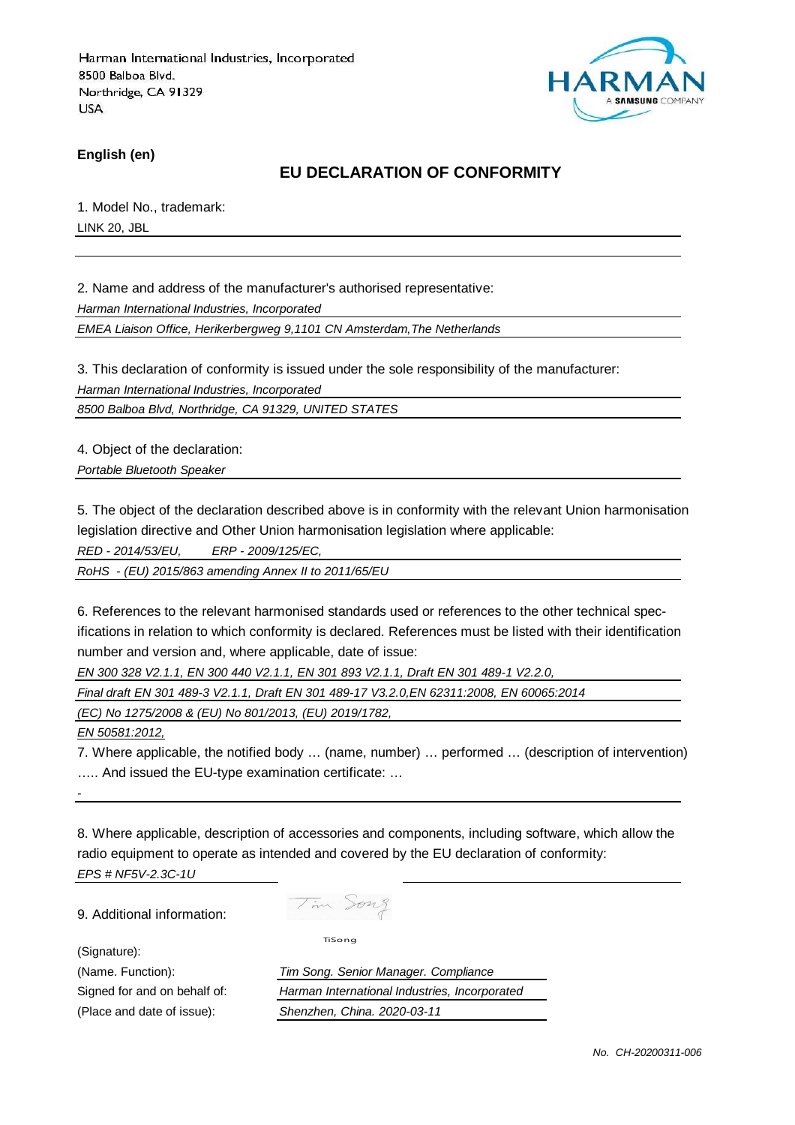

**English (en)**

### **EU DECLARATION OF CONFORMITY**

1. Model No., trademark: LINK 20, JBL

2. Name and address of the manufacturer's authorised representative:

Harman International Industries, Incorporated

EMEA Liaison Office, Herikerbergweg 9,1101 CN Amsterdam,The Netherlands

3. This declaration of conformity is issued under the sole responsibility of the manufacturer:

Harman International Industries, Incorporated

8500 Balboa Blvd, Northridge, CA 91329, UNITED STATES

4. Object of the declaration:

Portable Bluetooth Speaker

5. The object of the declaration described above is in conformity with the relevant Union harmonisation legislation directive and Other Union harmonisation legislation where applicable:

RED - 2014/53/EU, ERP - 2009/125/EC,

RoHS - (EU) 2015/863 amending Annex II to 2011/65/EU

6. References to the relevant harmonised standards used or references to the other technical specifications in relation to which conformity is declared. References must be listed with their identification number and version and, where applicable, date of issue:

EN 300 328 V2.1.1, EN 300 440 V2.1.1, EN 301 893 V2.1.1, Draft EN 301 489-1 V2.2.0,

Final draft EN 301 489-3 V2.1.1, Draft EN 301 489-17 V3.2.0,EN 62311:2008, EN 60065:2014

(EC) No 1275/2008 & (EU) No 801/2013, (EU) 2019/1782,

EN 50581:2012,

-

7. Where applicable, the notified body … (name, number) … performed … (description of intervention) ….. And issued the EU-type examination certificate: …

8. Where applicable, description of accessories and components, including software, which allow the radio equipment to operate as intended and covered by the EU declaration of conformity: EPS # NF5V-2.3C-1U

9. Additional information:

Tim Song

(Signature):

TiSong

(Name. Function): Tim Song. Senior Manager. Compliance Signed for and on behalf of: Harman International Industries, Incorporated (Place and date of issue): Shenzhen, China. 2020-03-11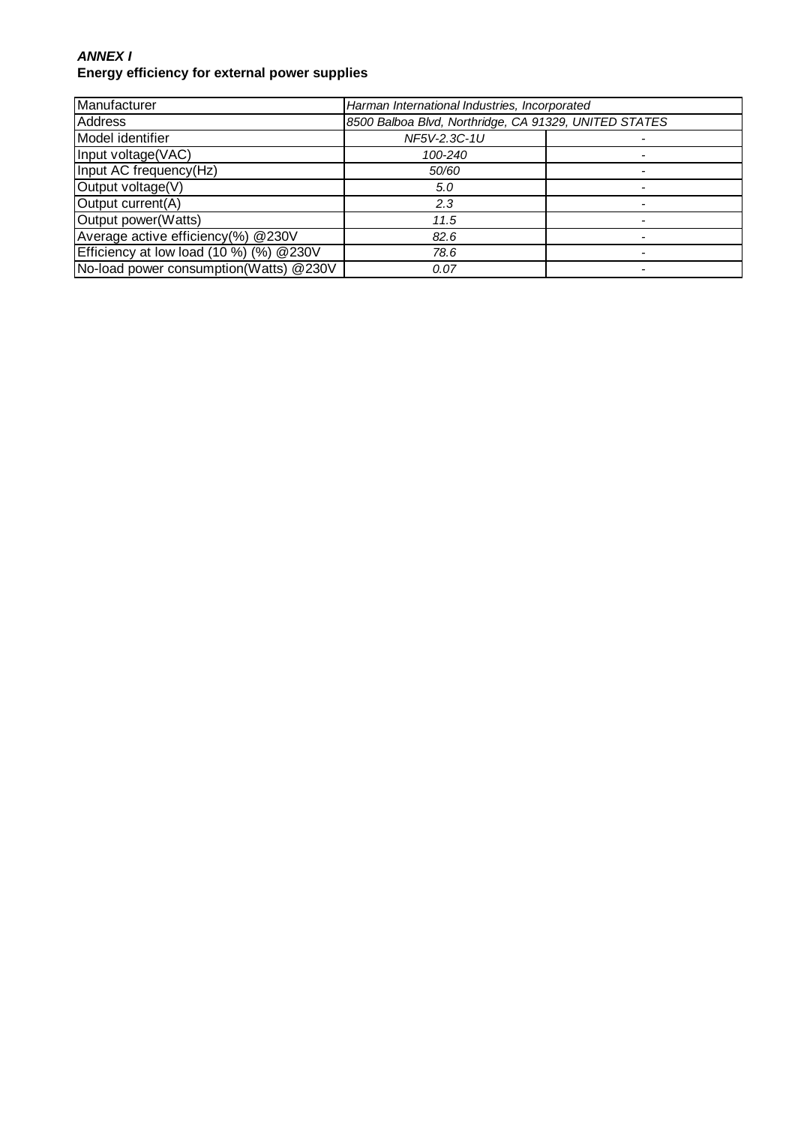#### **ANNEX I Energy efficiency for external power supplies**

| Manufacturer                                 | Harman International Industries, Incorporated         |  |
|----------------------------------------------|-------------------------------------------------------|--|
| <b>Address</b>                               | 8500 Balboa Blvd, Northridge, CA 91329, UNITED STATES |  |
| Model identifier                             | NF5V-2.3C-1U                                          |  |
| Input voltage(VAC)                           | 100-240                                               |  |
| Input AC frequency(Hz)                       | 50/60                                                 |  |
| Output voltage(V)                            | 5.0                                                   |  |
| Output current(A)                            | 2.3                                                   |  |
| Output power(Watts)                          | 11.5                                                  |  |
| Average active efficiency(%) @230V           | 82.6                                                  |  |
| Efficiency at low load $(10\%)$ $(%)$ @ 230V | 78.6                                                  |  |
| No-load power consumption(Watts) @230V       | 0.07                                                  |  |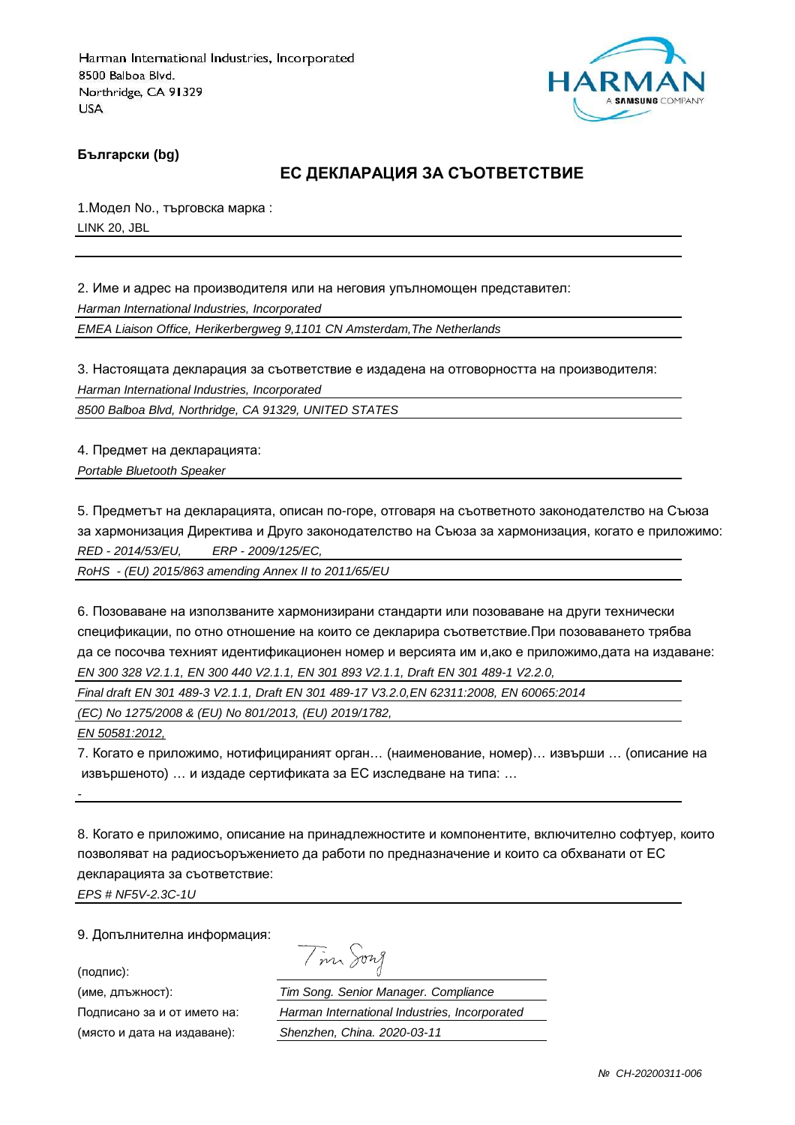

**Български (bg)**

### **ЕС ДЕКЛАРАЦИЯ ЗА СЪОТВЕТСТВИЕ**

1.Модел No., търговска марка : LINK 20, JBL

2. Име и адрес на производителя или на неговия упълномощен представител: Harman International Industries, Incorporated EMEA Liaison Office, Herikerbergweg 9,1101 CN Amsterdam,The Netherlands

3. Настоящата декларация за съответствие е издадена на отговорността на производителя: Harman International Industries, Incorporated

8500 Balboa Blvd, Northridge, CA 91329, UNITED STATES

4. Предмет на декларацията: Portable Bluetooth Speaker

5. Предметът на декларацията, описан по-горе, отговаря на съответното законодателство на Съюза за хармонизация Директива и Друго законодателство на Съюза за хармонизация, когато е приложимо: RED - 2014/53/EU, ERP - 2009/125/EC,

RoHS - (EU) 2015/863 amending Annex II to 2011/65/EU

6. Позоваване на използваните хармонизирани стандарти или позоваване на други технически спецификации, по отно отношение на които се декларира съответствие.При позоваването трябва да се посочва техният идентификационен номер и версията им и,ако е приложимо,дата на издаване: EN 300 328 V2.1.1, EN 300 440 V2.1.1, EN 301 893 V2.1.1, Draft EN 301 489-1 V2.2.0,

Final draft EN 301 489-3 V2.1.1, Draft EN 301 489-17 V3.2.0,EN 62311:2008, EN 60065:2014

(EC) No 1275/2008 & (EU) No 801/2013, (EU) 2019/1782,

EN 50581:2012,

-

7. Когато е приложимо, нотифицираният орган… (наименование, номер)… извърши … (описание на извършеното) … и издаде сертификата за ЕС изследване на типа: …

8. Когато е приложимо, описание на принадлежностите и компонентите, включително софтуер, които позволяват на радиосъоръжението да работи по предназначение и които са обхванати от ЕС декларацията за съответствие:

EPS # NF5V-2.3C-1U

9. Допълнителна информация:

(подпис):

(място и дата на издаване): Shenzhen, China. 2020-03-11

Tim Song

(име, длъжност): Tim Song. Senior Manager. Compliance Подписано за и от името на: Harman International Industries, Incorporated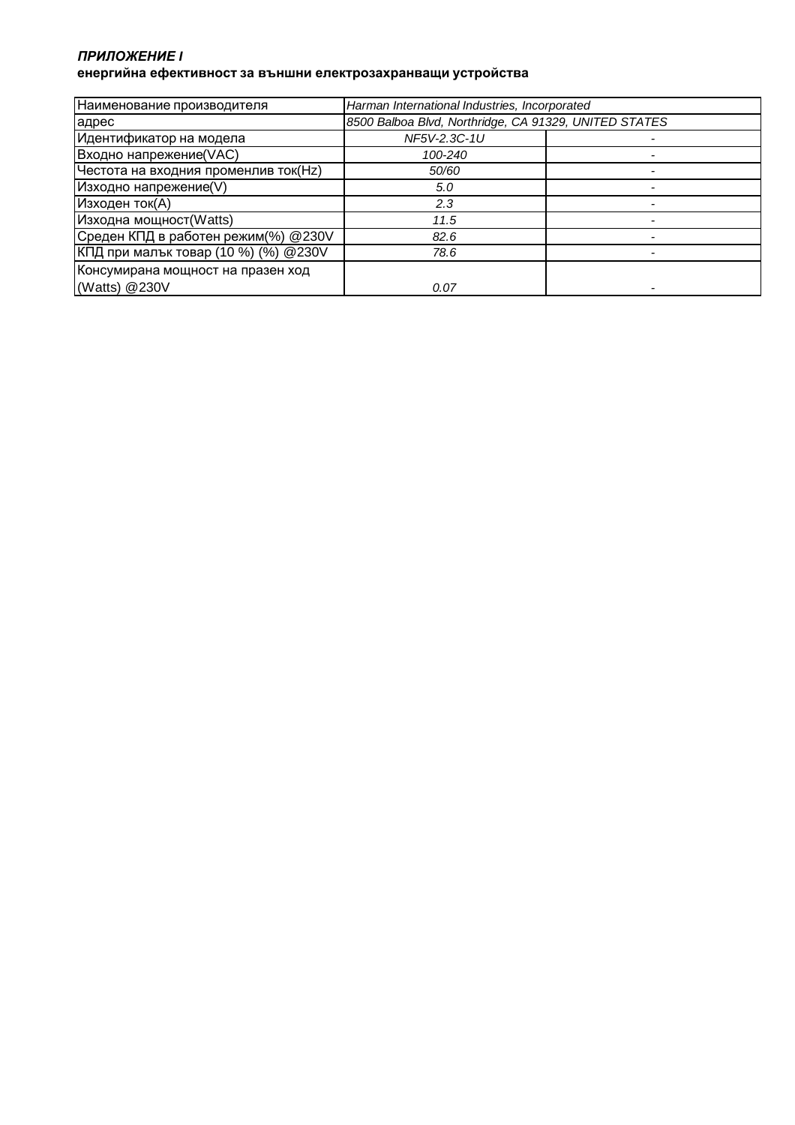#### *ПРИЛОЖЕНИЕ* **I енергийна ефективност за външни електрозахранващи устройства**

| Наименование производителя           | Harman International Industries, Incorporated         |  |
|--------------------------------------|-------------------------------------------------------|--|
| адрес                                | 8500 Balboa Blvd, Northridge, CA 91329, UNITED STATES |  |
| Идентификатор на модела              | NF5V-2.3C-1U                                          |  |
| Входно напрежение(VAC)               | 100-240                                               |  |
| Честота на входния променлив ток(Hz) | 50/60                                                 |  |
| Изходно напрежение(V)                | 5.0                                                   |  |
| Изходен ток(А)                       | 2.3                                                   |  |
| Изходна мощност(Watts)               | 11.5                                                  |  |
| Среден КПД в работен режим(%) @230V  | 82.6                                                  |  |
| КПД при малък товар (10 %) (%) @230V | 78.6                                                  |  |
| Консумирана мощност на празен ход    |                                                       |  |
| (Watts) @230V                        | 0.07                                                  |  |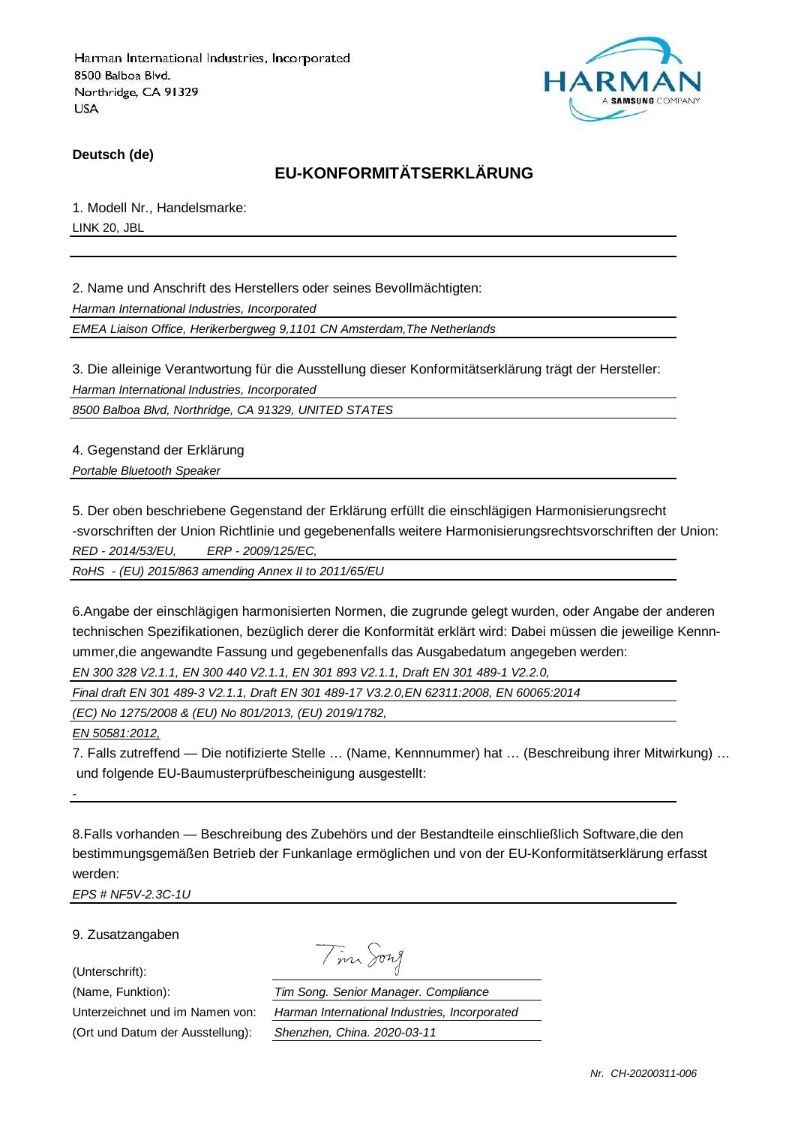

**Deutsch (de)**

## **EU-KONFORMITÄTSERKLÄRUNG**

1. Modell Nr., Handelsmarke: LINK 20, JBL

2. Name und Anschrift des Herstellers oder seines Bevollmächtigten: Harman International Industries, Incorporated EMEA Liaison Office, Herikerbergweg 9,1101 CN Amsterdam,The Netherlands

3. Die alleinige Verantwortung für die Ausstellung dieser Konformitätserklärung trägt der Hersteller: Harman International Industries, Incorporated

8500 Balboa Blvd, Northridge, CA 91329, UNITED STATES

4. Gegenstand der Erklärung Portable Bluetooth Speaker

5. Der oben beschriebene Gegenstand der Erklärung erfüllt die einschlägigen Harmonisierungsrecht -svorschriften der Union Richtlinie und gegebenenfalls weitere Harmonisierungsrechtsvorschriften der Union: RED - 2014/53/EU, ERP - 2009/125/EC,

RoHS - (EU) 2015/863 amending Annex II to 2011/65/EU

6.Angabe der einschlägigen harmonisierten Normen, die zugrunde gelegt wurden, oder Angabe der anderen technischen Spezifikationen, bezüglich derer die Konformität erklärt wird: Dabei müssen die jeweilige Kennnummer,die angewandte Fassung und gegebenenfalls das Ausgabedatum angegeben werden: EN 300 328 V2.1.1, EN 300 440 V2.1.1, EN 301 893 V2.1.1, Draft EN 301 489-1 V2.2.0,

Final draft EN 301 489-3 V2.1.1, Draft EN 301 489-17 V3.2.0,EN 62311:2008, EN 60065:2014

(EC) No 1275/2008 & (EU) No 801/2013, (EU) 2019/1782,

EN 50581:2012,

-

7. Falls zutreffend — Die notifizierte Stelle … (Name, Kennnummer) hat … (Beschreibung ihrer Mitwirkung) … und folgende EU-Baumusterprüfbescheinigung ausgestellt:

8.Falls vorhanden — Beschreibung des Zubehörs und der Bestandteile einschließlich Software,die den bestimmungsgemäßen Betrieb der Funkanlage ermöglichen und von der EU-Konformitätserklärung erfasst werden:

EPS # NF5V-2.3C-1U

9. Zusatzangaben

(Unterschrift):

Tim Song

(Name, Funktion): Tim Song. Senior Manager. Compliance Unterzeichnet und im Namen von: Harman International Industries, Incorporated (Ort und Datum der Ausstellung): Shenzhen, China. 2020-03-11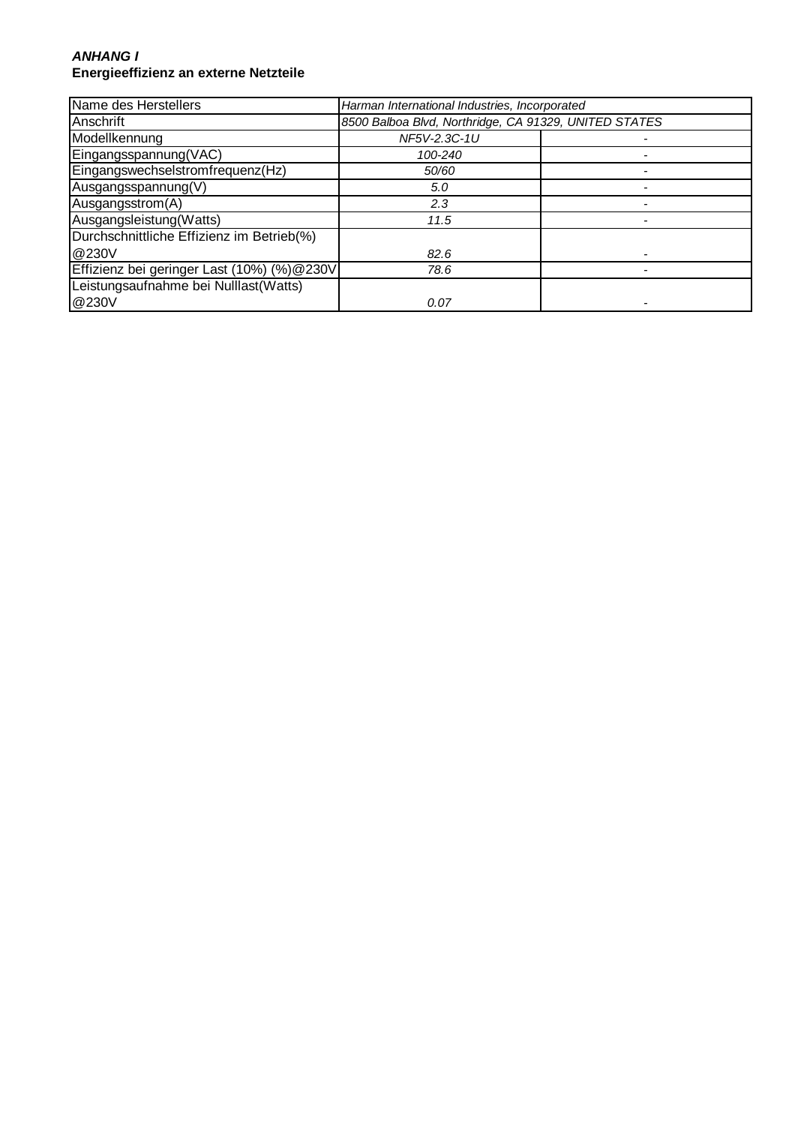#### **ANHANG I Energieeffizienz an externe Netzteile**

| Name des Herstellers                       | Harman International Industries, Incorporated         |  |
|--------------------------------------------|-------------------------------------------------------|--|
| Anschrift                                  | 8500 Balboa Blvd, Northridge, CA 91329, UNITED STATES |  |
| Modellkennung                              | NF5V-2.3C-1U                                          |  |
| Eingangsspannung(VAC)                      | 100-240                                               |  |
| Eingangswechselstromfrequenz(Hz)           | 50/60                                                 |  |
| Ausgangsspannung(V)                        | 5.0                                                   |  |
| Ausgangsstrom(A)                           | 2.3                                                   |  |
| Ausgangsleistung(Watts)                    | 11.5                                                  |  |
| Durchschnittliche Effizienz im Betrieb(%)  |                                                       |  |
| @230V                                      | 82.6                                                  |  |
| Effizienz bei geringer Last (10%) (%)@230V | 78.6                                                  |  |
| Leistungsaufnahme bei Nulllast(Watts)      |                                                       |  |
| @230V                                      | 0.07                                                  |  |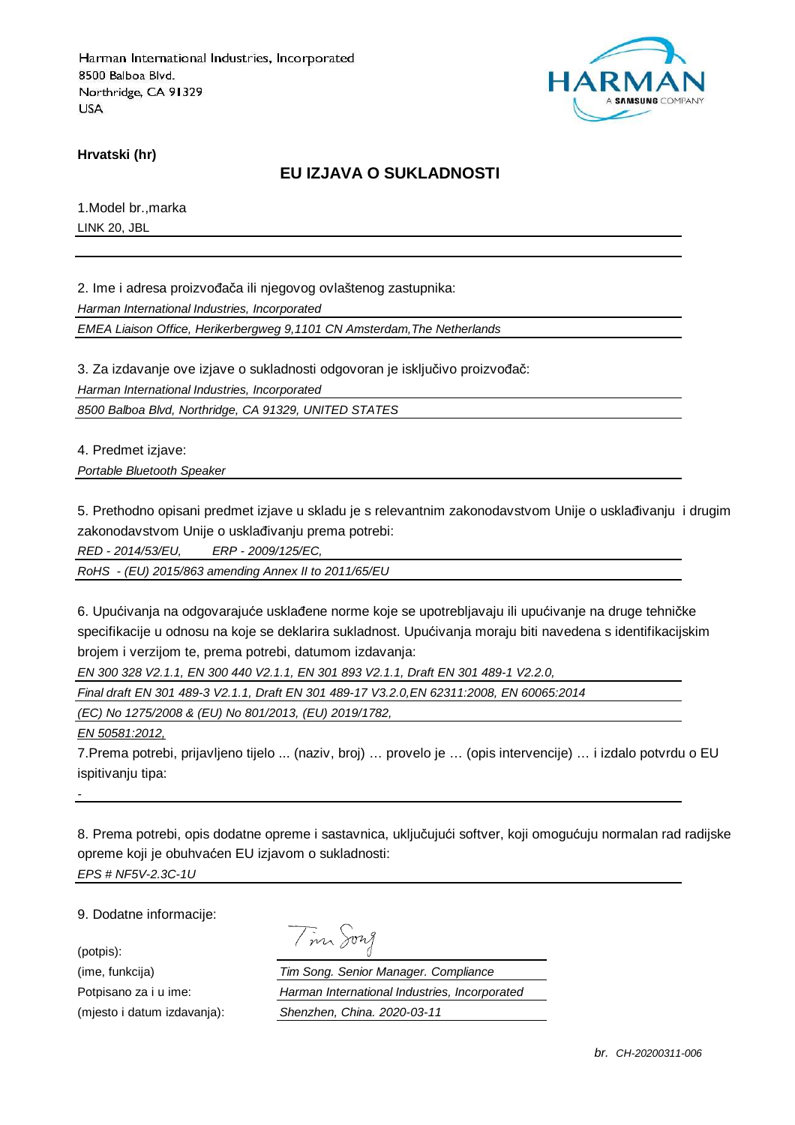

**Hrvatski (hr)**

### **EU IZJAVA O SUKLADNOSTI**

1.Model br.,marka LINK 20, JBL

2. Ime i adresa proizvođača ili njegovog ovlaštenog zastupnika:

Harman International Industries, Incorporated

EMEA Liaison Office, Herikerbergweg 9,1101 CN Amsterdam,The Netherlands

3. Za izdavanje ove izjave o sukladnosti odgovoran je isključivo proizvođač:

Harman International Industries, Incorporated

8500 Balboa Blvd, Northridge, CA 91329, UNITED STATES

4. Predmet izjave:

Portable Bluetooth Speaker

5. Prethodno opisani predmet izjave u skladu je s relevantnim zakonodavstvom Unije o usklađivanju i drugim zakonodavstvom Unije o usklađivanju prema potrebi:

RED - 2014/53/EU, ERP - 2009/125/EC,

RoHS - (EU) 2015/863 amending Annex II to 2011/65/EU

6. Upućivanja na odgovarajuće usklađene norme koje se upotrebljavaju ili upućivanje na druge tehničke specifikacije u odnosu na koje se deklarira sukladnost. Upućivanja moraju biti navedena s identifikacijskim brojem i verzijom te, prema potrebi, datumom izdavanja:

EN 300 328 V2.1.1, EN 300 440 V2.1.1, EN 301 893 V2.1.1, Draft EN 301 489-1 V2.2.0,

Final draft EN 301 489-3 V2.1.1, Draft EN 301 489-17 V3.2.0,EN 62311:2008, EN 60065:2014

(EC) No 1275/2008 & (EU) No 801/2013, (EU) 2019/1782,

EN 50581:2012,

7.Prema potrebi, prijavljeno tijelo ... (naziv, broj) … provelo je … (opis intervencije) … i izdalo potvrdu o EU ispitivanju tipa:

8. Prema potrebi, opis dodatne opreme i sastavnica, uključujući softver, koji omogućuju normalan rad radijske opreme koji je obuhvaćen EU izjavom o sukladnosti: EPS # NF5V-2.3C-1U

9. Dodatne informacije:

(potpis):

-

| $117n$ $\bar{\lambda}$<br>$\overline{\phantom{a}}$ |  |  |
|----------------------------------------------------|--|--|
|----------------------------------------------------|--|--|

(ime, funkcija) Tim Song. Senior Manager. Compliance Potpisano za i u ime: Harman International Industries, Incorporated (mjesto i datum izdavanja): Shenzhen, China. 2020-03-11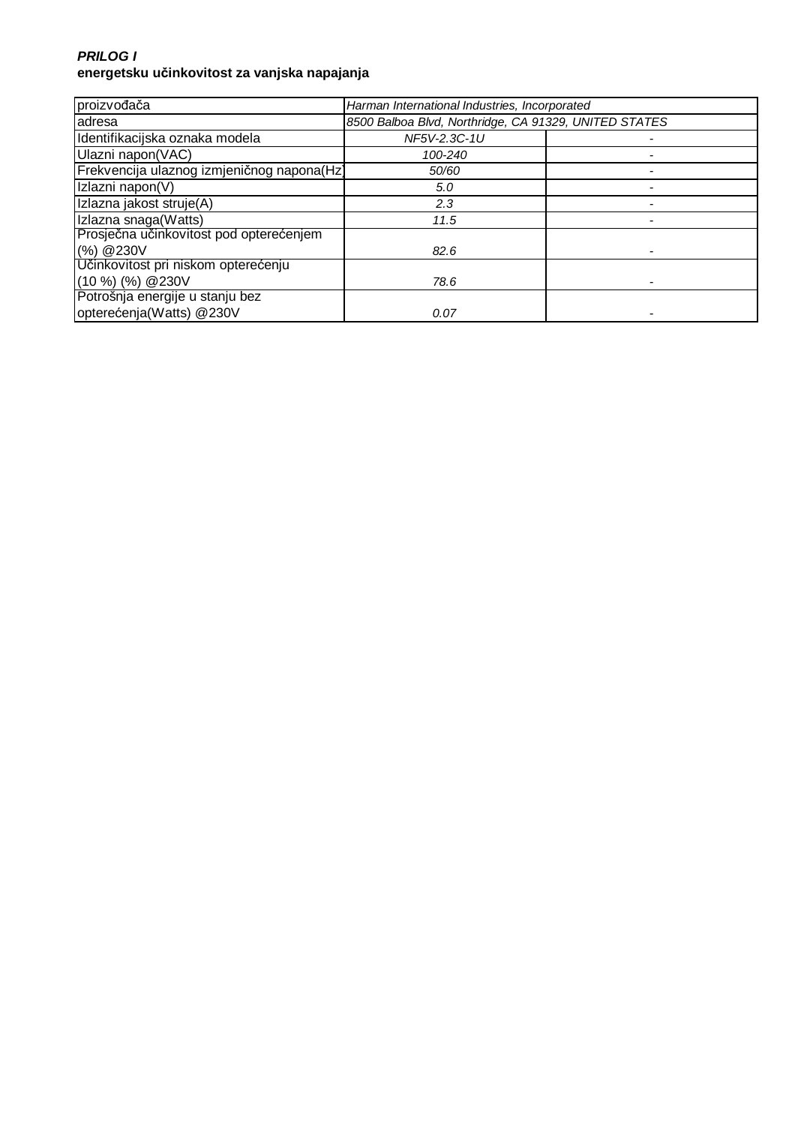#### **PRILOG I energetsku učinkovitost za vanjska napajanja**

| proizvođača                                | Harman International Industries, Incorporated         |  |
|--------------------------------------------|-------------------------------------------------------|--|
| adresa                                     | 8500 Balboa Blvd, Northridge, CA 91329, UNITED STATES |  |
| Identifikacijska oznaka modela             | NF5V-2.3C-1U                                          |  |
| Ulazni napon(VAC)                          | 100-240                                               |  |
| Frekvencija ulaznog izmjeničnog napona(Hz) | 50/60                                                 |  |
| Izlazni napon(V)                           | 5.0                                                   |  |
| Izlazna jakost struje(A)                   | 2.3                                                   |  |
| Izlazna snaga(Watts)                       | 11.5                                                  |  |
| Prosječna učinkovitost pod opterećenjem    |                                                       |  |
| (%) @ 230V                                 | 82.6                                                  |  |
| Učinkovitost pri niskom opterećenju        |                                                       |  |
| $(10 %)$ $%$ $(%)$ $@230V$                 | 78.6                                                  |  |
| Potrošnja energije u stanju bez            |                                                       |  |
| opterećenja(Watts) @230V                   | 0.07                                                  |  |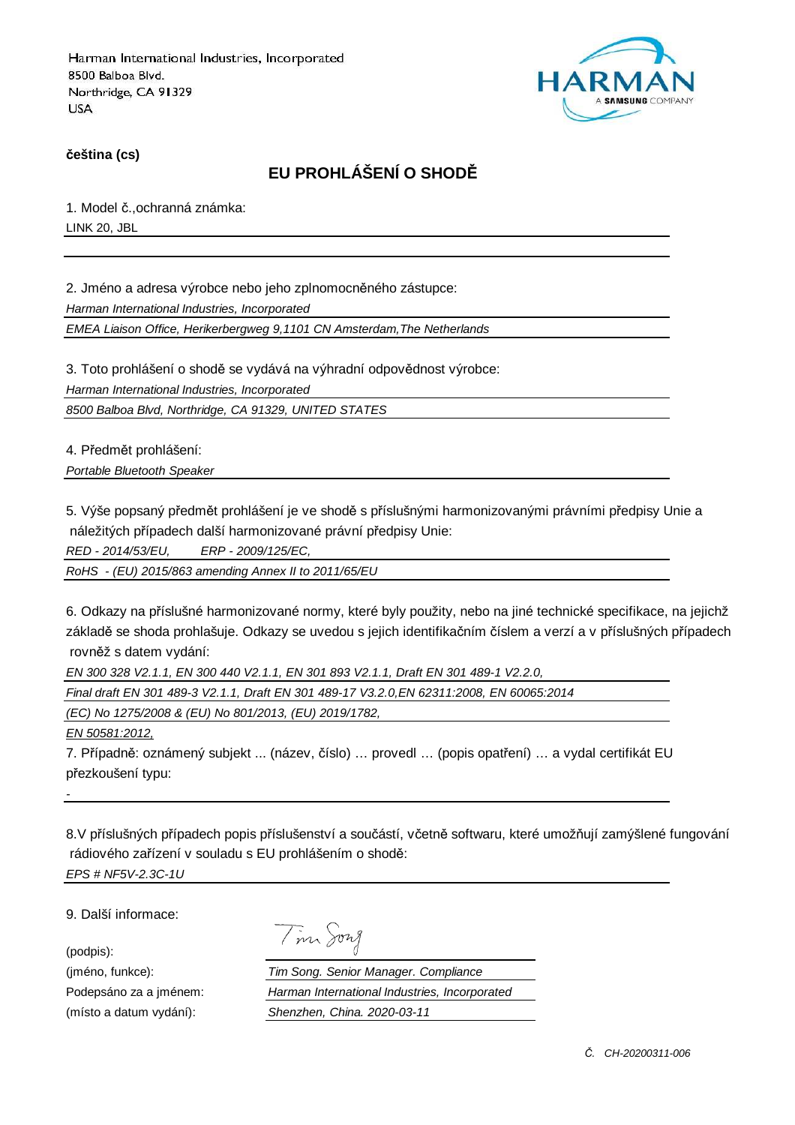

**čeština (cs)**

# **EU PROHLÁŠENÍ O SHODĚ**

1. Model č.,ochranná známka: LINK 20, JBL

2. Jméno a adresa výrobce nebo jeho zplnomocněného zástupce:

Harman International Industries, Incorporated

EMEA Liaison Office, Herikerbergweg 9,1101 CN Amsterdam,The Netherlands

3. Toto prohlášení o shodě se vydává na výhradní odpovědnost výrobce:

Harman International Industries, Incorporated

8500 Balboa Blvd, Northridge, CA 91329, UNITED STATES

4. Předmět prohlášení:

Portable Bluetooth Speaker

5. Výše popsaný předmět prohlášení je ve shodě s příslušnými harmonizovanými právními předpisy Unie a náležitých případech další harmonizované právní předpisy Unie:

RED - 2014/53/EU, ERP - 2009/125/EC,

RoHS - (EU) 2015/863 amending Annex II to 2011/65/EU

6. Odkazy na příslušné harmonizované normy, které byly použity, nebo na jiné technické specifikace, na jejichž základě se shoda prohlašuje. Odkazy se uvedou s jejich identifikačním číslem a verzí a v příslušných případech rovněž s datem vydání:

EN 300 328 V2.1.1, EN 300 440 V2.1.1, EN 301 893 V2.1.1, Draft EN 301 489-1 V2.2.0,

Final draft EN 301 489-3 V2.1.1, Draft EN 301 489-17 V3.2.0,EN 62311:2008, EN 60065:2014

(EC) No 1275/2008 & (EU) No 801/2013, (EU) 2019/1782,

EN 50581:2012,

7. Případně: oznámený subjekt ... (název, číslo) … provedl … (popis opatření) … a vydal certifikát EU přezkoušení typu:

8.V příslušných případech popis příslušenství a součástí, včetně softwaru, které umožňují zamýšlené fungování rádiového zařízení v souladu s EU prohlášením o shodě: EPS # NF5V-2.3C-1U

9. Další informace:

(podpis):

-

Tim Song

(jméno, funkce): Tim Song. Senior Manager. Compliance Podepsáno za a jménem: Harman International Industries, Incorporated (místo a datum vydání): Shenzhen, China. 2020-03-11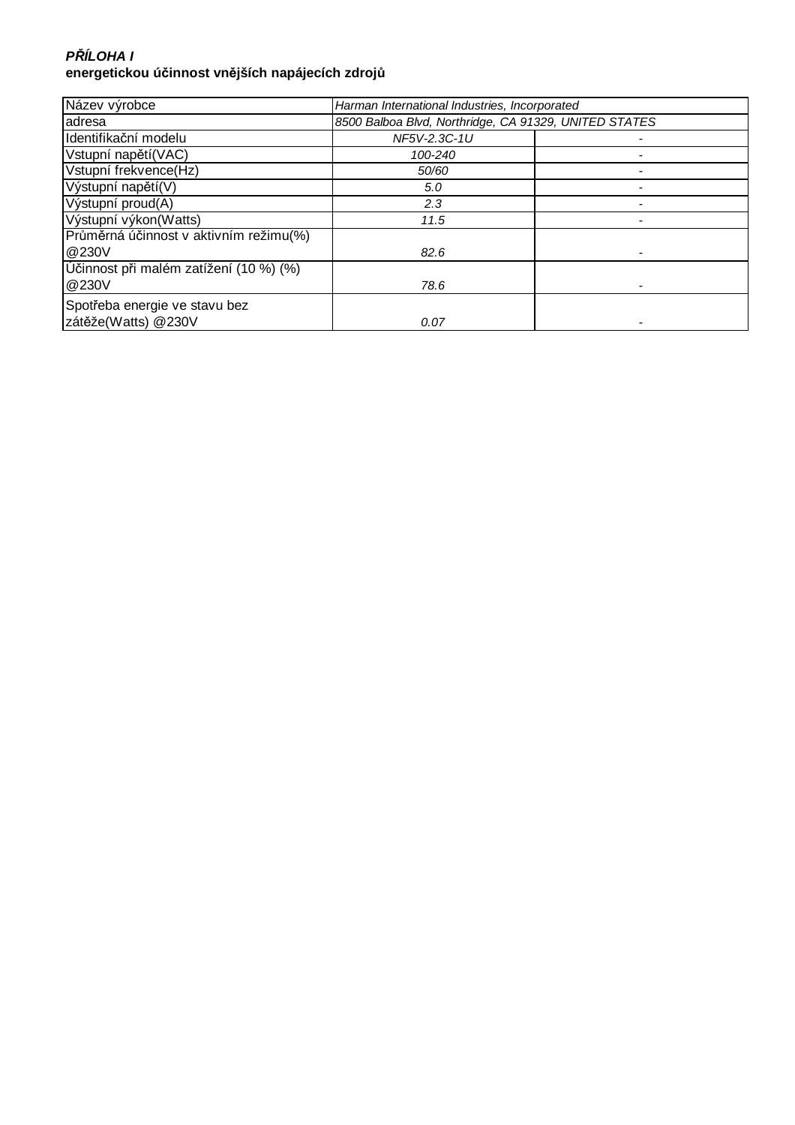### **P***Ř***ÍLOHA I energetickou účinnost vnějších napájecích zdrojů**

| Název výrobce                          | Harman International Industries, Incorporated         |  |
|----------------------------------------|-------------------------------------------------------|--|
| adresa                                 | 8500 Balboa Blvd, Northridge, CA 91329, UNITED STATES |  |
| Identifikační modelu                   | NF5V-2.3C-1U                                          |  |
| Vstupní napětí(VAC)                    | 100-240                                               |  |
| Vstupní frekvence(Hz)                  | 50/60                                                 |  |
| Výstupní napětí(V)                     | 5.0                                                   |  |
| Výstupní proud(A)                      | 2.3                                                   |  |
| Výstupní výkon(Watts)                  | 11.5                                                  |  |
| Průměrná účinnost v aktivním režimu(%) |                                                       |  |
| @230V                                  | 82.6                                                  |  |
| Účinnost při malém zatížení (10 %) (%) |                                                       |  |
| @230V                                  | 78.6                                                  |  |
| Spotřeba energie ve stavu bez          |                                                       |  |
| zátěže(Watts) @230V                    | 0.07                                                  |  |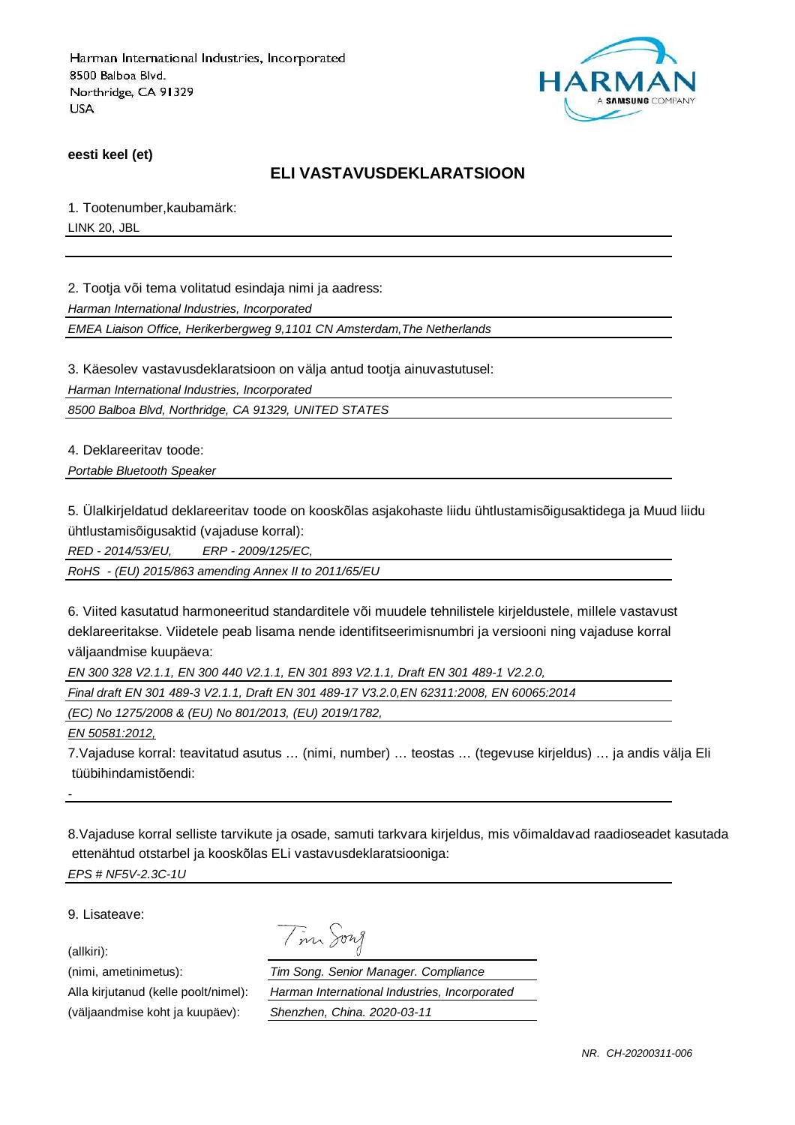

**eesti keel (et)**

### **ELI VASTAVUSDEKLARATSIOON**

1. Tootenumber,kaubamärk: LINK 20, JBL

2. Tootja või tema volitatud esindaja nimi ja aadress:

Harman International Industries, Incorporated

EMEA Liaison Office, Herikerbergweg 9,1101 CN Amsterdam,The Netherlands

3. Käesolev vastavusdeklaratsioon on välja antud tootja ainuvastutusel:

Harman International Industries, Incorporated

8500 Balboa Blvd, Northridge, CA 91329, UNITED STATES

4. Deklareeritav toode:

Portable Bluetooth Speaker

5. Ülalkirjeldatud deklareeritav toode on kooskõlas asjakohaste liidu ühtlustamisõigusaktidega ja Muud liidu ühtlustamisõigusaktid (vajaduse korral):

RED - 2014/53/EU, ERP - 2009/125/EC,

RoHS - (EU) 2015/863 amending Annex II to 2011/65/EU

6. Viited kasutatud harmoneeritud standarditele või muudele tehnilistele kirjeldustele, millele vastavust deklareeritakse. Viidetele peab lisama nende identifitseerimisnumbri ja versiooni ning vajaduse korral väljaandmise kuupäeva:

EN 300 328 V2.1.1, EN 300 440 V2.1.1, EN 301 893 V2.1.1, Draft EN 301 489-1 V2.2.0,

Final draft EN 301 489-3 V2.1.1, Draft EN 301 489-17 V3.2.0,EN 62311:2008, EN 60065:2014

Tim Song

(EC) No 1275/2008 & (EU) No 801/2013, (EU) 2019/1782,

EN 50581:2012,

7.Vajaduse korral: teavitatud asutus … (nimi, number) … teostas … (tegevuse kirjeldus) … ja andis välja Eli tüübihindamistõendi:

8.Vajaduse korral selliste tarvikute ja osade, samuti tarkvara kirjeldus, mis võimaldavad raadioseadet kasutada ettenähtud otstarbel ja kooskõlas ELi vastavusdeklaratsiooniga: EPS # NF5V-2.3C-1U

9. Lisateave:

(allkiri):

-

(nimi, ametinimetus): Tim Song. Senior Manager. Compliance Alla kirjutanud (kelle poolt/nimel): Harman International Industries, Incorporated (väljaandmise koht ja kuupäev): Shenzhen, China. 2020-03-11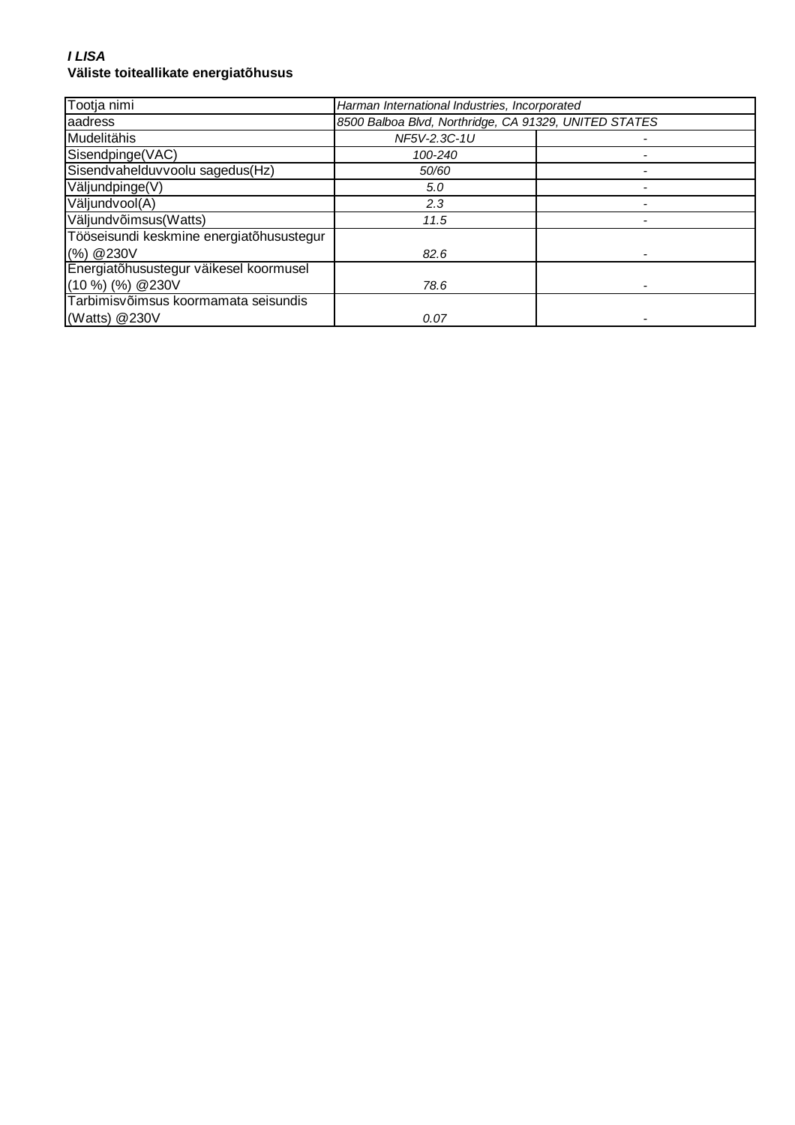#### **I LISA Väliste toiteallikate energiatõhusus**

| Tootja nimi                              | Harman International Industries, Incorporated |                                                       |  |
|------------------------------------------|-----------------------------------------------|-------------------------------------------------------|--|
| aadress                                  |                                               | 8500 Balboa Blvd, Northridge, CA 91329, UNITED STATES |  |
| Mudelitähis                              | NF5V-2.3C-1U                                  |                                                       |  |
| Sisendpinge(VAC)                         | 100-240                                       |                                                       |  |
| Sisendvahelduvvoolu sagedus(Hz)          | 50/60                                         |                                                       |  |
| Väljundpinge(V)                          | 5.0                                           |                                                       |  |
| Väljundvool(A)                           | 2.3                                           |                                                       |  |
| Väljundvõimsus(Watts)                    | 11.5                                          |                                                       |  |
| Tööseisundi keskmine energiatõhusustegur |                                               |                                                       |  |
| (%) @ 230V                               | 82.6                                          |                                                       |  |
| Energiatõhusustegur väikesel koormusel   |                                               |                                                       |  |
| $(10\%)$ (%) @ 230V                      | 78.6                                          |                                                       |  |
| Tarbimisvõimsus koormamata seisundis     |                                               |                                                       |  |
| (Watts) @230V                            | 0.07                                          |                                                       |  |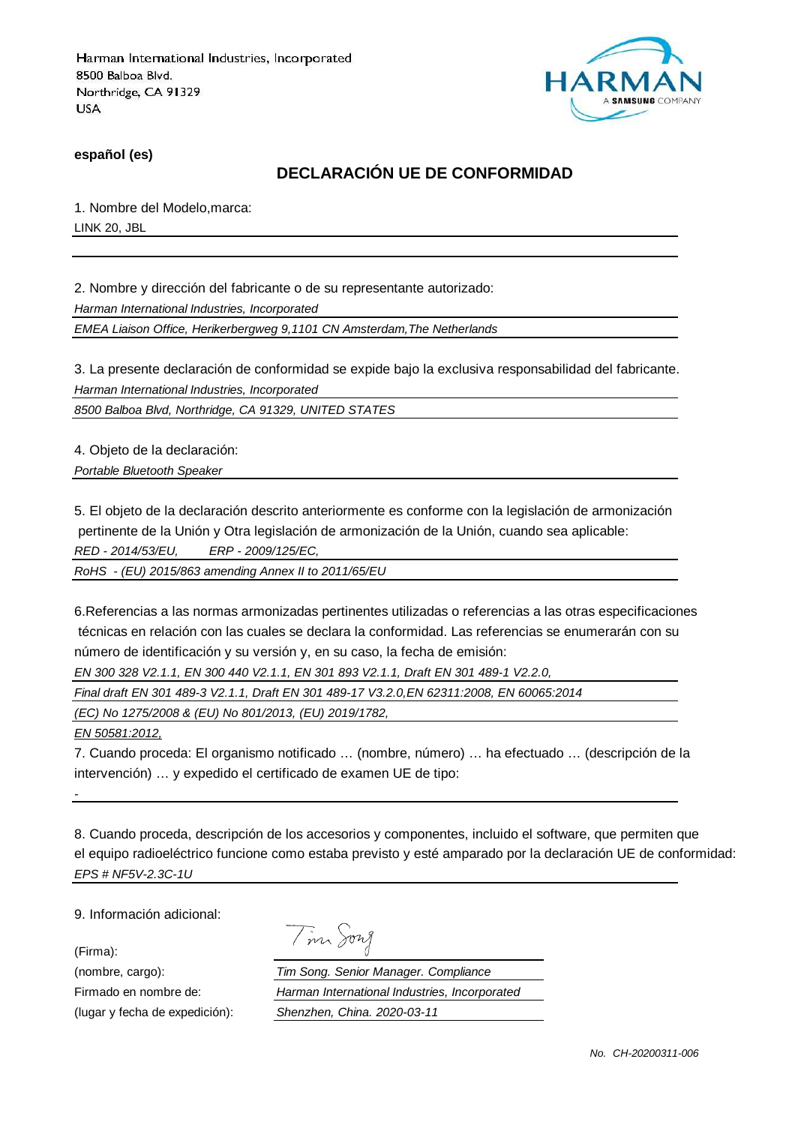

**español (es)**

## **DECLARACIÓN UE DE CONFORMIDAD**

1. Nombre del Modelo,marca: LINK 20, JBL

2. Nombre y dirección del fabricante o de su representante autorizado:

Harman International Industries, Incorporated

EMEA Liaison Office, Herikerbergweg 9,1101 CN Amsterdam,The Netherlands

3. La presente declaración de conformidad se expide bajo la exclusiva responsabilidad del fabricante. Harman International Industries, Incorporated

8500 Balboa Blvd, Northridge, CA 91329, UNITED STATES

4. Objeto de la declaración:

Portable Bluetooth Speaker

5. El objeto de la declaración descrito anteriormente es conforme con la legislación de armonización pertinente de la Unión y Otra legislación de armonización de la Unión, cuando sea aplicable: RED - 2014/53/EU, ERP - 2009/125/EC,

RoHS - (EU) 2015/863 amending Annex II to 2011/65/EU

6.Referencias a las normas armonizadas pertinentes utilizadas o referencias a las otras especificaciones técnicas en relación con las cuales se declara la conformidad. Las referencias se enumerarán con su número de identificación y su versión y, en su caso, la fecha de emisión:

EN 300 328 V2.1.1, EN 300 440 V2.1.1, EN 301 893 V2.1.1, Draft EN 301 489-1 V2.2.0,

Final draft EN 301 489-3 V2.1.1, Draft EN 301 489-17 V3.2.0,EN 62311:2008, EN 60065:2014

(EC) No 1275/2008 & (EU) No 801/2013, (EU) 2019/1782,

EN 50581:2012,

7. Cuando proceda: El organismo notificado … (nombre, número) … ha efectuado … (descripción de la intervención) … y expedido el certificado de examen UE de tipo:

8. Cuando proceda, descripción de los accesorios y componentes, incluido el software, que permiten que el equipo radioeléctrico funcione como estaba previsto y esté amparado por la declaración UE de conformidad: EPS # NF5V-2.3C-1U

9. Información adicional:

(Firma):

-

|  | vw |
|--|----|
|  | 7  |

(nombre, cargo): Tim Song. Senior Manager. Compliance Firmado en nombre de: Harman International Industries, Incorporated (lugar y fecha de expedición): Shenzhen, China. 2020-03-11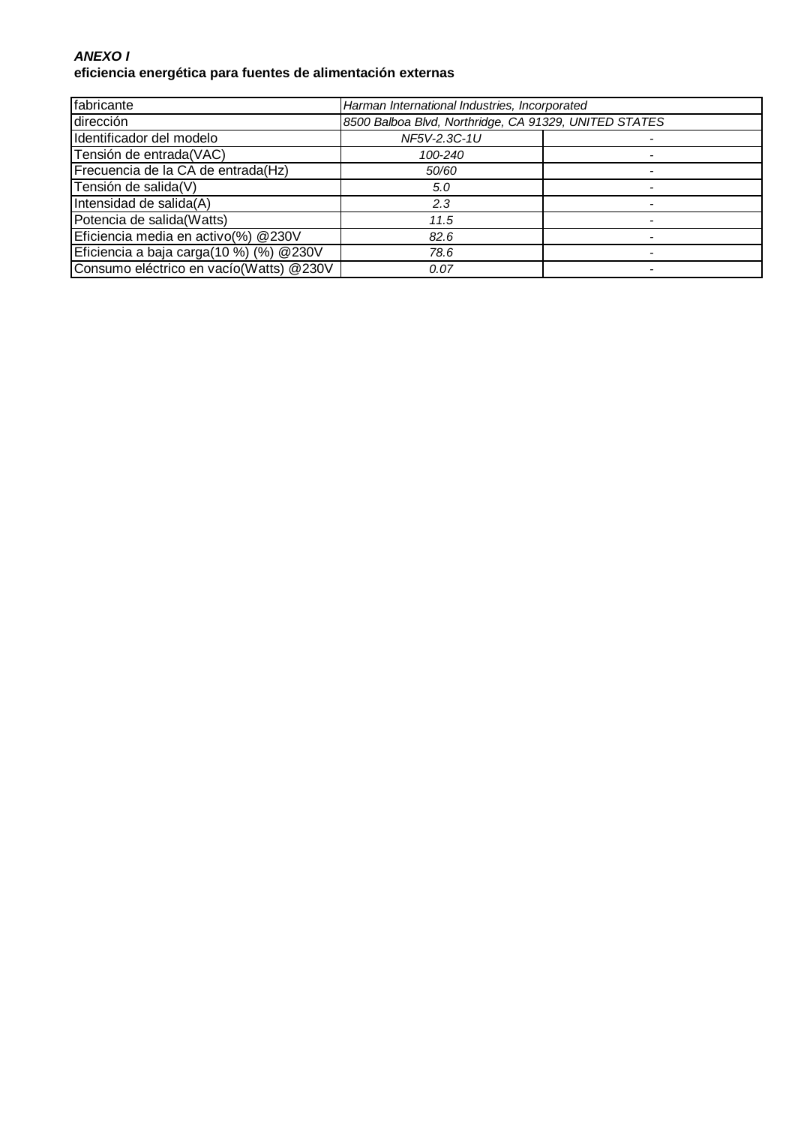#### **ANEXO I eficiencia energética para fuentes de alimentación externas**

| fabricante                              | Harman International Industries, Incorporated         |  |
|-----------------------------------------|-------------------------------------------------------|--|
| dirección                               | 8500 Balboa Blvd, Northridge, CA 91329, UNITED STATES |  |
| Identificador del modelo                | NF5V-2.3C-1U                                          |  |
| Tensión de entrada(VAC)                 | 100-240                                               |  |
| Frecuencia de la CA de entrada(Hz)      | 50/60                                                 |  |
| Tensión de salida(V)                    | 5.0                                                   |  |
| Intensidad de salida(A)                 | 2.3                                                   |  |
| Potencia de salida(Watts)               | 11.5                                                  |  |
| Eficiencia media en activo(%) @230V     | 82.6                                                  |  |
| Eficiencia a baja carga(10 %) (%) @230V | 78.6                                                  |  |
| Consumo eléctrico en vacío(Watts) @230V | 0.07                                                  |  |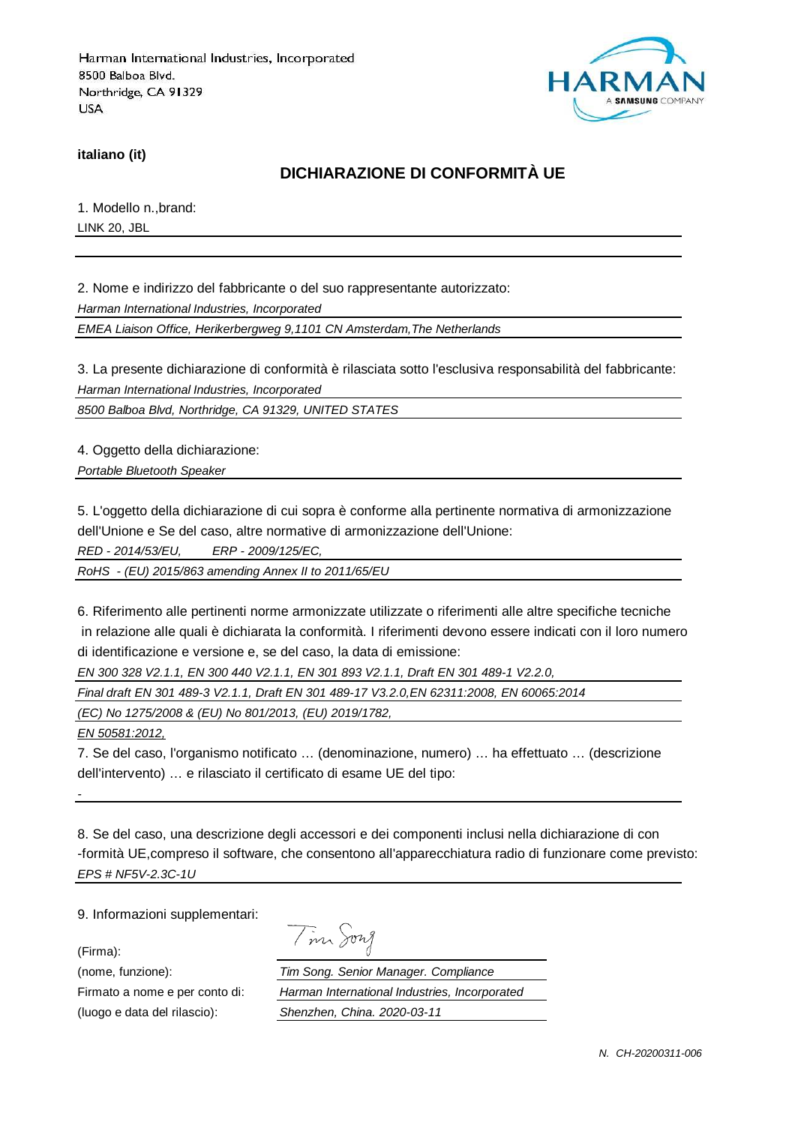

**italiano (it)**

## **DICHIARAZIONE DI CONFORMITÀ UE**

1. Modello n.,brand: LINK 20, JBL

2. Nome e indirizzo del fabbricante o del suo rappresentante autorizzato:

Harman International Industries, Incorporated

EMEA Liaison Office, Herikerbergweg 9,1101 CN Amsterdam,The Netherlands

3. La presente dichiarazione di conformità è rilasciata sotto l'esclusiva responsabilità del fabbricante: Harman International Industries, Incorporated

8500 Balboa Blvd, Northridge, CA 91329, UNITED STATES

4. Oggetto della dichiarazione:

Portable Bluetooth Speaker

5. L'oggetto della dichiarazione di cui sopra è conforme alla pertinente normativa di armonizzazione dell'Unione e Se del caso, altre normative di armonizzazione dell'Unione:

RED - 2014/53/EU, ERP - 2009/125/EC,

RoHS - (EU) 2015/863 amending Annex II to 2011/65/EU

6. Riferimento alle pertinenti norme armonizzate utilizzate o riferimenti alle altre specifiche tecniche in relazione alle quali è dichiarata la conformità. I riferimenti devono essere indicati con il loro numero di identificazione e versione e, se del caso, la data di emissione:

EN 300 328 V2.1.1, EN 300 440 V2.1.1, EN 301 893 V2.1.1, Draft EN 301 489-1 V2.2.0,

Final draft EN 301 489-3 V2.1.1, Draft EN 301 489-17 V3.2.0,EN 62311:2008, EN 60065:2014

(EC) No 1275/2008 & (EU) No 801/2013, (EU) 2019/1782,

EN 50581:2012,

7. Se del caso, l'organismo notificato … (denominazione, numero) … ha effettuato … (descrizione dell'intervento) … e rilasciato il certificato di esame UE del tipo:

8. Se del caso, una descrizione degli accessori e dei componenti inclusi nella dichiarazione di con -formità UE,compreso il software, che consentono all'apparecchiatura radio di funzionare come previsto: EPS # NF5V-2.3C-1U

9. Informazioni supplementari:

(Firma):

-

Tim Song

(nome, funzione): Tim Song. Senior Manager. Compliance Firmato a nome e per conto di: Harman International Industries, Incorporated (luogo e data del rilascio): Shenzhen, China. 2020-03-11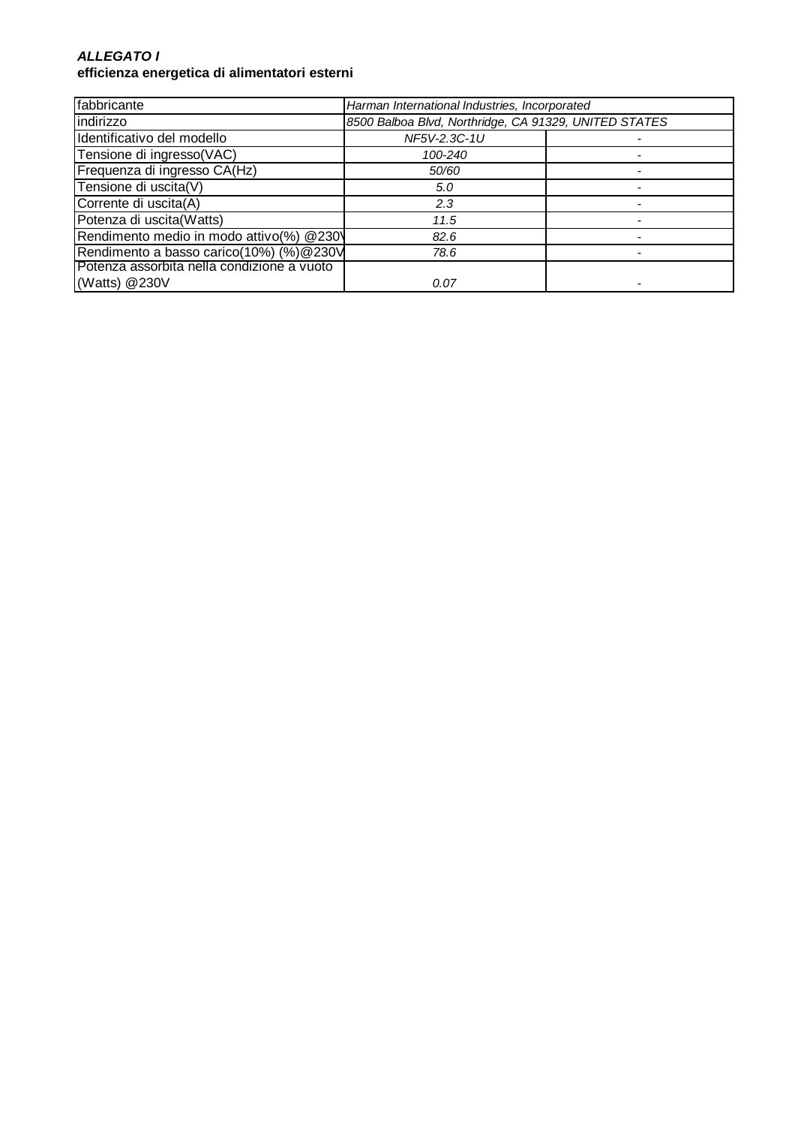#### **ALLEGATO I efficienza energetica di alimentatori esterni**

| fabbricante                                | Harman International Industries, Incorporated         |  |
|--------------------------------------------|-------------------------------------------------------|--|
| indirizzo                                  | 8500 Balboa Blvd, Northridge, CA 91329, UNITED STATES |  |
| Identificativo del modello                 | NF5V-2.3C-1U                                          |  |
| Tensione di ingresso(VAC)                  | 100-240                                               |  |
| Frequenza di ingresso CA(Hz)               | 50/60                                                 |  |
| Tensione di uscita(V)                      | 5.0                                                   |  |
| Corrente di uscita(A)                      | 2.3                                                   |  |
| Potenza di uscita(Watts)                   | 11.5                                                  |  |
| Rendimento medio in modo attivo(%) @230\   | 82.6                                                  |  |
| Rendimento a basso carico(10%) (%) @ 230V  | 78.6                                                  |  |
| Potenza assorbita nella condizione a vuoto |                                                       |  |
| (Watts) @230V                              | 0.07                                                  |  |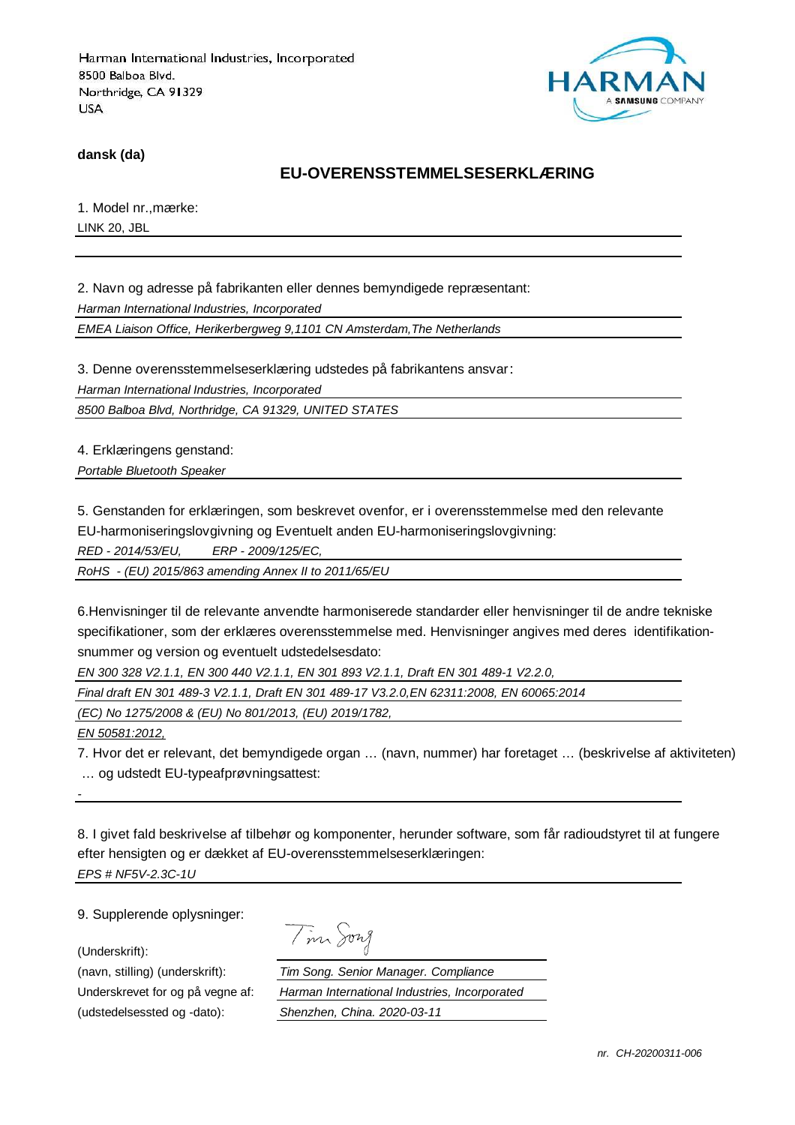

**dansk (da)**

#### **EU-OVERENSSTEMMELSESERKLÆRING**

1. Model nr.,mærke: LINK 20, JBL

2. Navn og adresse på fabrikanten eller dennes bemyndigede repræsentant: Harman International Industries, Incorporated

EMEA Liaison Office, Herikerbergweg 9,1101 CN Amsterdam,The Netherlands

3. Denne overensstemmelseserklæring udstedes på fabrikantens ansvar:

Harman International Industries, Incorporated

8500 Balboa Blvd, Northridge, CA 91329, UNITED STATES

4. Erklæringens genstand:

Portable Bluetooth Speaker

5. Genstanden for erklæringen, som beskrevet ovenfor, er i overensstemmelse med den relevante

EU-harmoniseringslovgivning og Eventuelt anden EU-harmoniseringslovgivning:

RED - 2014/53/EU, ERP - 2009/125/EC,

RoHS - (EU) 2015/863 amending Annex II to 2011/65/EU

6.Henvisninger til de relevante anvendte harmoniserede standarder eller henvisninger til de andre tekniske specifikationer, som der erklæres overensstemmelse med. Henvisninger angives med deres identifikationsnummer og version og eventuelt udstedelsesdato:

EN 300 328 V2.1.1, EN 300 440 V2.1.1, EN 301 893 V2.1.1, Draft EN 301 489-1 V2.2.0,

Final draft EN 301 489-3 V2.1.1, Draft EN 301 489-17 V3.2.0,EN 62311:2008, EN 60065:2014

(EC) No 1275/2008 & (EU) No 801/2013, (EU) 2019/1782,

EN 50581:2012,

-

7. Hvor det er relevant, det bemyndigede organ … (navn, nummer) har foretaget … (beskrivelse af aktiviteten) … og udstedt EU-typeafprøvningsattest:

8. I givet fald beskrivelse af tilbehør og komponenter, herunder software, som får radioudstyret til at fungere efter hensigten og er dækket af EU-overensstemmelseserklæringen: EPS # NF5V-2.3C-1U

9. Supplerende oplysninger:

(Underskrift):

Tim Song

(navn, stilling) (underskrift): Tim Song. Senior Manager. Compliance Underskrevet for og på vegne af: Harman International Industries, Incorporated (udstedelsessted og -dato): Shenzhen, China. 2020-03-11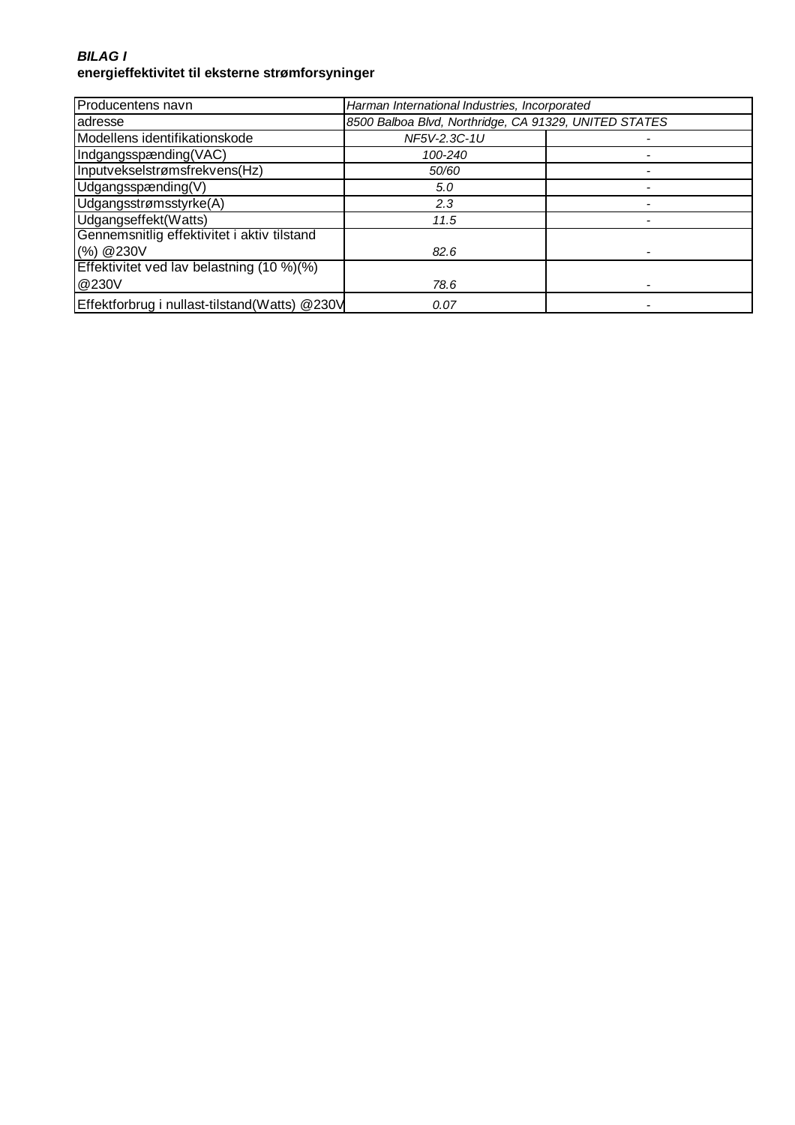#### **BILAG I energieffektivitet til eksterne strømforsyninger**

| Producentens navn                             | Harman International Industries, Incorporated         |  |
|-----------------------------------------------|-------------------------------------------------------|--|
| adresse                                       | 8500 Balboa Blvd, Northridge, CA 91329, UNITED STATES |  |
| Modellens identifikationskode                 | NF5V-2.3C-1U                                          |  |
| Indgangsspænding(VAC)                         | 100-240                                               |  |
| Inputvekselstrømsfrekvens(Hz)                 | 50/60                                                 |  |
| Udgangsspænding(V)                            | 5.0                                                   |  |
| Udgangsstrømsstyrke(A)                        | 2.3                                                   |  |
| Udgangseffekt(Watts)                          | 11.5                                                  |  |
| Gennemsnitlig effektivitet i aktiv tilstand   |                                                       |  |
| (%) @230V                                     | 82.6                                                  |  |
| Effektivitet ved lav belastning (10 %)(%)     |                                                       |  |
| @230V                                         | 78.6                                                  |  |
| Effektforbrug i nullast-tilstand(Watts) @230V | 0.07                                                  |  |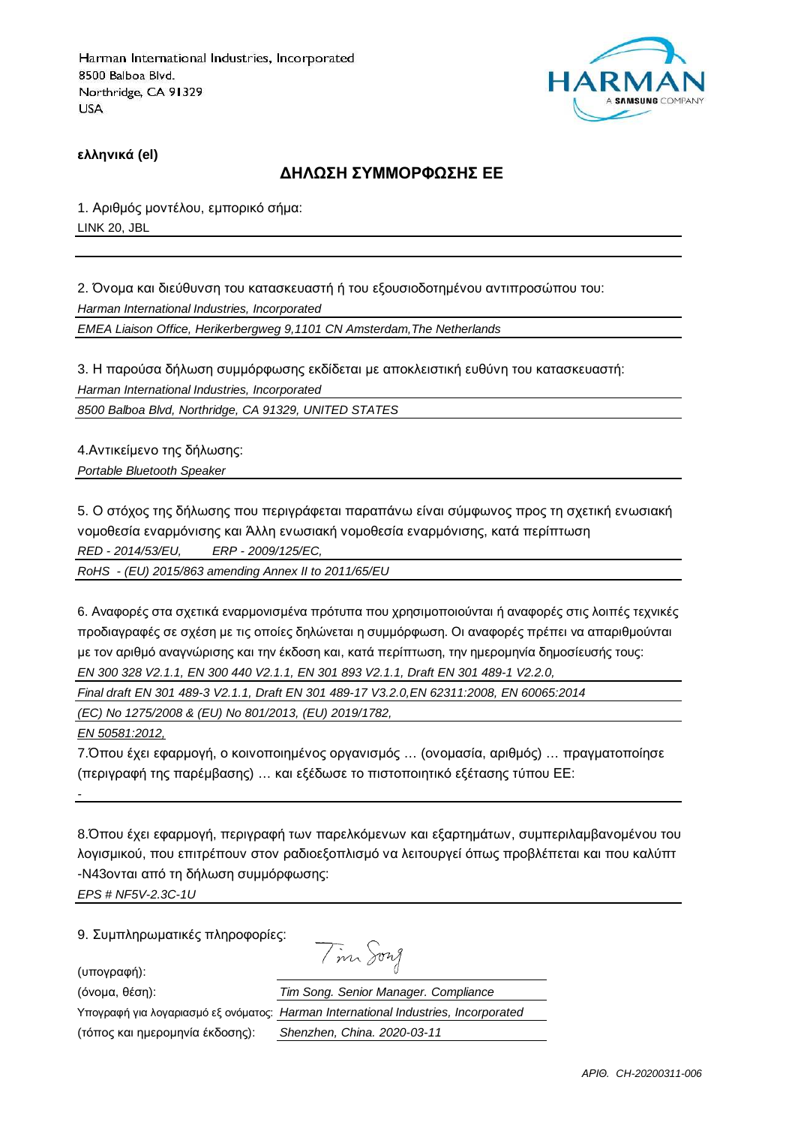

**ελληνικά (el)**

#### **ΔΗΛΩΣΗ ΣΥΜΜΟΡΦΩΣΗΣ ΕΕ**

1. Αριθμός μοντέλου, εμπορικό σήμα: LINK 20, JBL

2. Όνομα και διεύθυνση του κατασκευαστή ή του εξουσιοδοτημένου αντιπροσώπου του: Harman International Industries, Incorporated EMEA Liaison Office, Herikerbergweg 9,1101 CN Amsterdam,The Netherlands

3. Η παρούσα δήλωση συμμόρφωσης εκδίδεται με αποκλειστική ευθύνη του κατασκευαστή: Harman International Industries, Incorporated

8500 Balboa Blvd, Northridge, CA 91329, UNITED STATES

4.Αντικείμενο της δήλωσης: Portable Bluetooth Speaker

5. Ο στόχος της δήλωσης που περιγράφεται παραπάνω είναι σύμφωνος προς τη σχετική ενωσιακή νομοθεσία εναρμόνισης και Άλλη ενωσιακή νομοθεσία εναρμόνισης, κατά περίπτωση RED - 2014/53/EU, ERP - 2009/125/EC,

RoHS - (EU) 2015/863 amending Annex II to 2011/65/EU

6. Αναφορές στα σχετικά εναρμονισμένα πρότυπα που χρησιμοποιούνται ή αναφορές στις λοιπές τεχνικές προδιαγραφές σε σχέση με τις οποίες δηλώνεται η συμμόρφωση. Οι αναφορές πρέπει να απαριθμούνται με τον αριθμό αναγνώρισης και την έκδοση και, κατά περίπτωση, την ημερομηνία δημοσίευσής τους: EN 300 328 V2.1.1, EN 300 440 V2.1.1, EN 301 893 V2.1.1, Draft EN 301 489-1 V2.2.0,

Final draft EN 301 489-3 V2.1.1, Draft EN 301 489-17 V3.2.0,EN 62311:2008, EN 60065:2014

(EC) No 1275/2008 & (EU) No 801/2013, (EU) 2019/1782,

EN 50581:2012,

-

7.Όπου έχει εφαρμογή, ο κοινοποιημένος οργανισμός … (ονομασία, αριθμός) … πραγματοποίησε (περιγραφή της παρέμβασης) … και εξέδωσε το πιστοποιητικό εξέτασης τύπου ΕΕ:

8.Όπου έχει εφαρμογή, περιγραφή των παρελκόμενων και εξαρτημάτων, συμπεριλαμβανομένου του λογισμικού, που επιτρέπουν στον ραδιοεξοπλισμό να λειτουργεί όπως προβλέπεται και που καλύπτ -N43ονται από τη δήλωση συμμόρφωσης:

EPS # NF5V-2.3C-1U

9. Συμπληρωματικές πληροφορίες:

(υπογραφή):

Tim Song

(όνομα, θέση):

Υπογραφή για λογαριασμό εξ ονόματος:

(τόπος και ημερομηνία έκδοσης):

| Tim Song. Senior Manager. Compliance          |
|-----------------------------------------------|
| Harman International Industries, Incorporated |
| Shenzhen, China. 2020-03-11                   |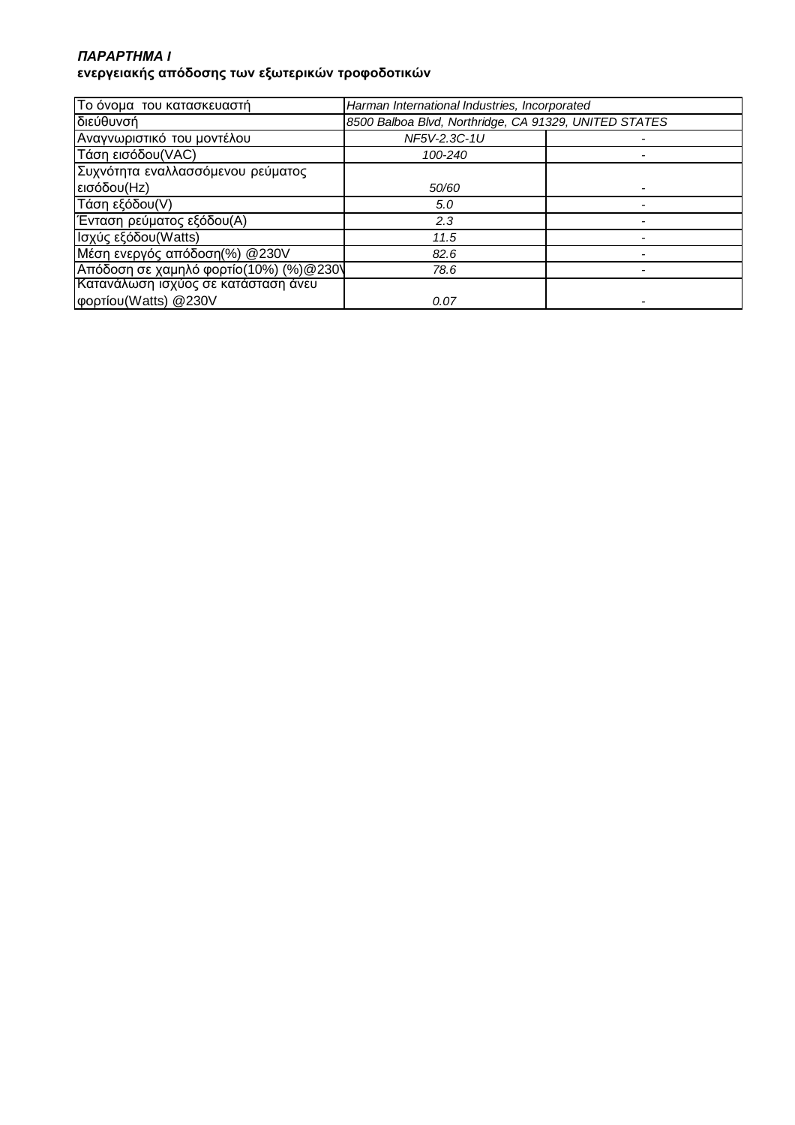### *ΠΑΡΑΡΤΗΜΑ* **I ενεργειακής απόδοσης των εξωτερικών τροφοδοτικών**

| Το όνομα του κατασκευαστή              | Harman International Industries, Incorporated         |  |
|----------------------------------------|-------------------------------------------------------|--|
| διεύθυνσή                              | 8500 Balboa Blvd, Northridge, CA 91329, UNITED STATES |  |
| Αναγνωριστικό του μοντέλου             | NF5V-2.3C-1U                                          |  |
| Τάση εισόδου (VAC)                     | 100-240                                               |  |
| Συχνότητα εναλλασσόμενου ρεύματος      |                                                       |  |
| εισόδου(Hz)                            | 50/60                                                 |  |
| Τάση εξόδου(V)                         | 5.0                                                   |  |
| Ένταση ρεύματος εξόδου(Α)              | 2.3                                                   |  |
| Ισχύς εξόδου(Watts)                    | 11.5                                                  |  |
| Μέση ενεργός απόδοση(%) @230V          | 82.6                                                  |  |
| Απόδοση σε χαμηλό φορτίο(10%) (%)@230\ | 78.6                                                  |  |
| Κατανάλωση ισχύος σε κατάσταση άνευ    |                                                       |  |
| φορτίου (Watts) @230V                  | 0.07                                                  |  |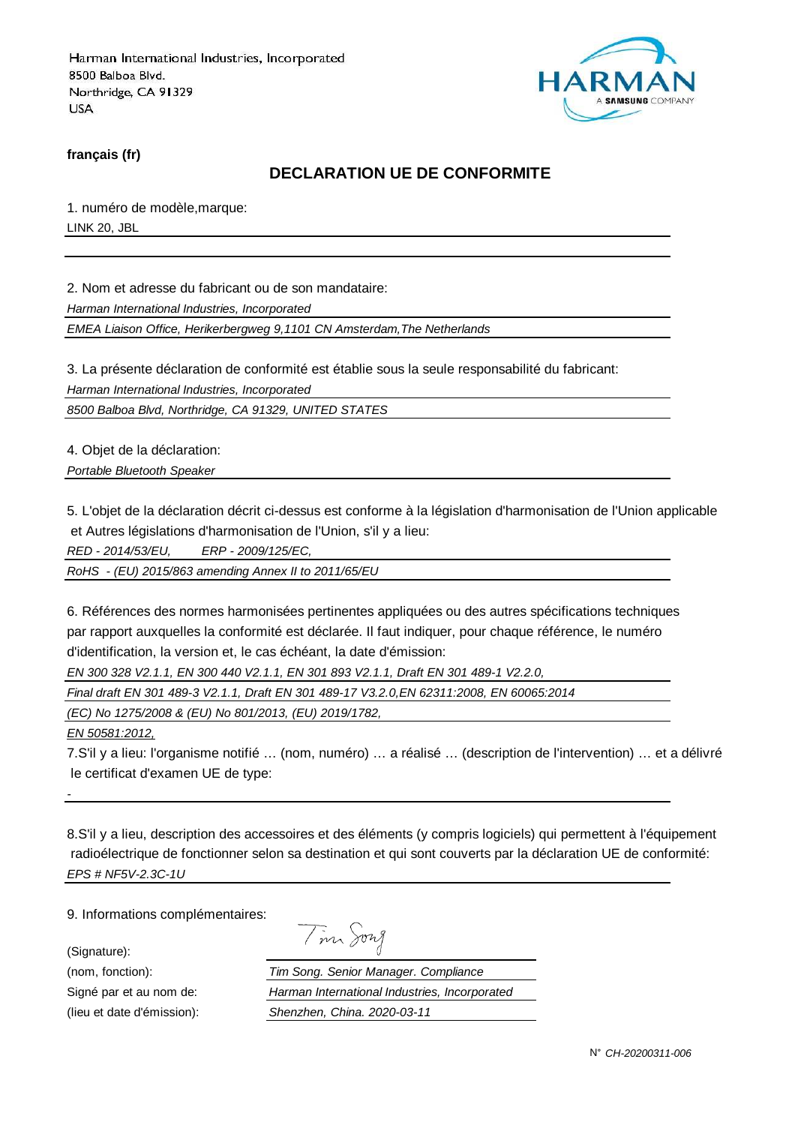

**français (fr)**

#### **DECLARATION UE DE CONFORMITE**

1. numéro de modèle,marque: LINK 20, JBL

2. Nom et adresse du fabricant ou de son mandataire:

Harman International Industries, Incorporated

EMEA Liaison Office, Herikerbergweg 9,1101 CN Amsterdam,The Netherlands

3. La présente déclaration de conformité est établie sous la seule responsabilité du fabricant:

Harman International Industries, Incorporated

8500 Balboa Blvd, Northridge, CA 91329, UNITED STATES

4. Objet de la déclaration:

Portable Bluetooth Speaker

5. L'objet de la déclaration décrit ci-dessus est conforme à la législation d'harmonisation de l'Union applicable et Autres législations d'harmonisation de l'Union, s'il y a lieu:

RED - 2014/53/EU, ERP - 2009/125/EC,

RoHS - (EU) 2015/863 amending Annex II to 2011/65/EU

6. Références des normes harmonisées pertinentes appliquées ou des autres spécifications techniques par rapport auxquelles la conformité est déclarée. Il faut indiquer, pour chaque référence, le numéro d'identification, la version et, le cas échéant, la date d'émission:

EN 300 328 V2.1.1, EN 300 440 V2.1.1, EN 301 893 V2.1.1, Draft EN 301 489-1 V2.2.0,

Final draft EN 301 489-3 V2.1.1, Draft EN 301 489-17 V3.2.0,EN 62311:2008, EN 60065:2014

(EC) No 1275/2008 & (EU) No 801/2013, (EU) 2019/1782,

EN 50581:2012,

-

7.S'il y a lieu: l'organisme notifié … (nom, numéro) … a réalisé … (description de l'intervention) … et a délivré le certificat d'examen UE de type:

8.S'il y a lieu, description des accessoires et des éléments (y compris logiciels) qui permettent à l'équipement radioélectrique de fonctionner selon sa destination et qui sont couverts par la déclaration UE de conformité: EPS # NF5V-2.3C-1U

9. Informations complémentaires:

(Signature):

Signé par et au nom de:

(nom, fonction):  $\frac{I}{H}$ <br>Signé par et au nom de:  $\frac{H}{H}$ <br>(lieu et date d'émission):  $\frac{S}{H}$ (lieu et date d'émission):

| $\mathcal{V}$ | vw |
|---------------|----|
|               |    |

| im Song. Senior Manager. Compliance           |  |
|-----------------------------------------------|--|
| larman International Industries, Incorporated |  |
| henzhen, China. 2020-03-11                    |  |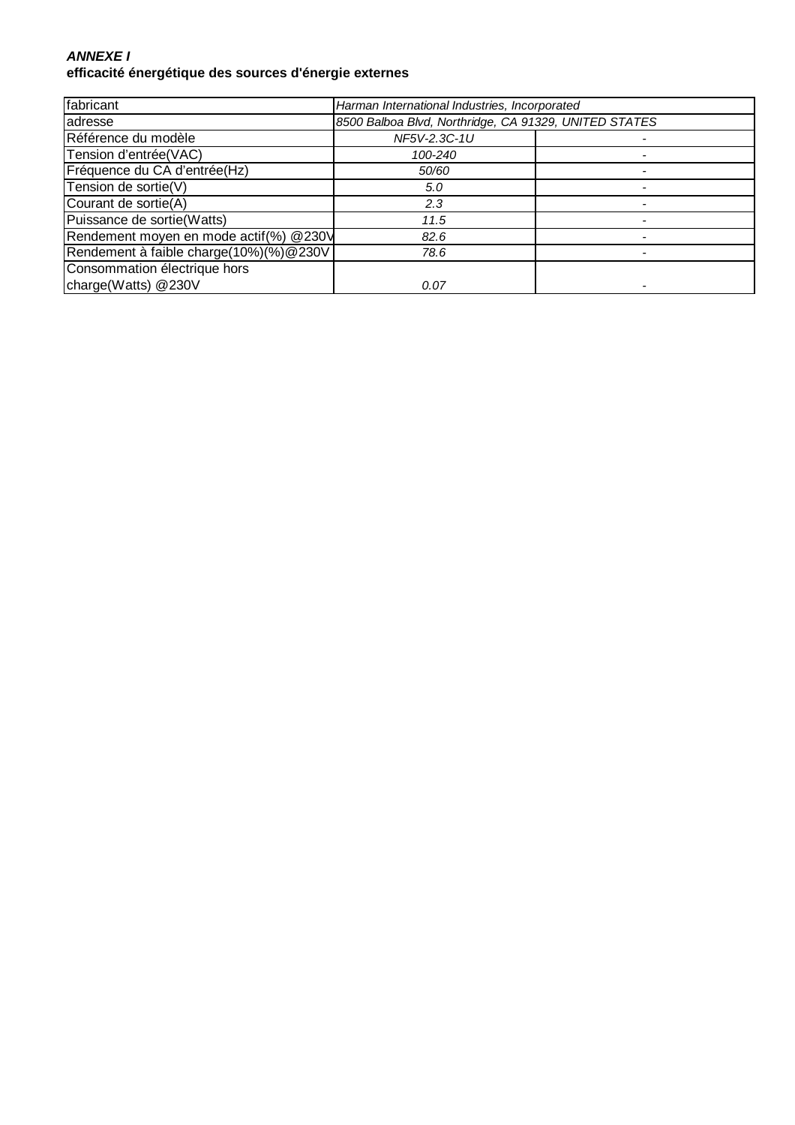### **ANNEXE I efficacité énergétique des sources d'énergie externes**

| fabricant                              | Harman International Industries, Incorporated         |  |
|----------------------------------------|-------------------------------------------------------|--|
| adresse                                | 8500 Balboa Blvd, Northridge, CA 91329, UNITED STATES |  |
| Référence du modèle                    | NF5V-2.3C-1U                                          |  |
| Tension d'entrée(VAC)                  | 100-240                                               |  |
| Fréquence du CA d'entrée(Hz)           | 50/60                                                 |  |
| Tension de sortie(V)                   | 5.0                                                   |  |
| Courant de sortie(A)                   | 2.3                                                   |  |
| Puissance de sortie(Watts)             | 11.5                                                  |  |
| Rendement moyen en mode actif(%) @230V | 82.6                                                  |  |
| Rendement à faible charge(10%)(%)@230V | 78.6                                                  |  |
| Consommation électrique hors           |                                                       |  |
| charge(Watts) @230V                    | 0.07                                                  |  |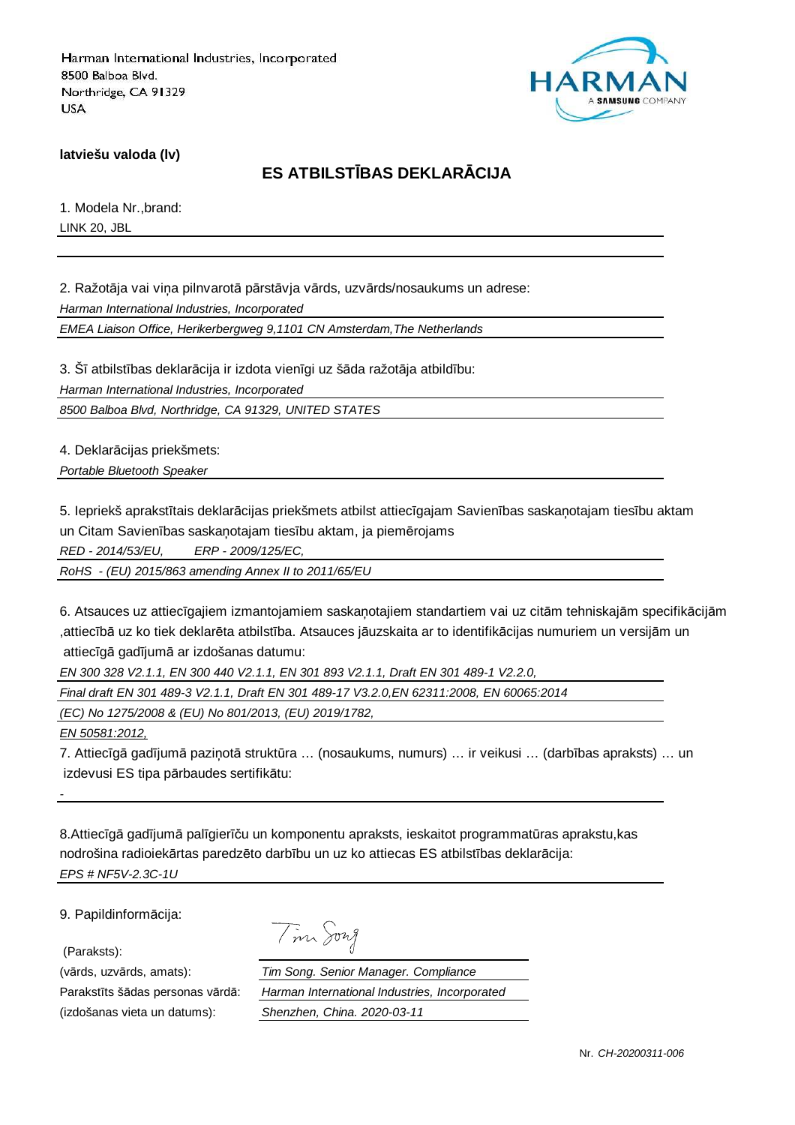

**latviešu valoda (lv)**

## **ES ATBILSTĪBAS DEKLARĀCIJA**

1. Modela Nr.,brand: LINK 20, JBL

2. Ražotāja vai viņa pilnvarotā pārstāvja vārds, uzvārds/nosaukums un adrese:

Harman International Industries, Incorporated

EMEA Liaison Office, Herikerbergweg 9,1101 CN Amsterdam,The Netherlands

3. Šī atbilstības deklarācija ir izdota vienīgi uz šāda ražotāja atbildību: Harman International Industries, Incorporated

8500 Balboa Blvd, Northridge, CA 91329, UNITED STATES

4. Deklarācijas priekšmets:

Portable Bluetooth Speaker

5. Iepriekš aprakstītais deklarācijas priekšmets atbilst attiecīgajam Savienības saskaņotajam tiesību aktam un Citam Savienības saskaņotajam tiesību aktam, ja piemērojams

RED - 2014/53/EU, ERP - 2009/125/EC,

RoHS - (EU) 2015/863 amending Annex II to 2011/65/EU

6. Atsauces uz attiecīgajiem izmantojamiem saskaņotajiem standartiem vai uz citām tehniskajām specifikācijām ,attiecībā uz ko tiek deklarēta atbilstība. Atsauces jāuzskaita ar to identifikācijas numuriem un versijām un attiecīgā gadījumā ar izdošanas datumu:

EN 300 328 V2.1.1, EN 300 440 V2.1.1, EN 301 893 V2.1.1, Draft EN 301 489-1 V2.2.0,

Final draft EN 301 489-3 V2.1.1, Draft EN 301 489-17 V3.2.0,EN 62311:2008, EN 60065:2014

(EC) No 1275/2008 & (EU) No 801/2013, (EU) 2019/1782,

EN 50581:2012,

-

7. Attiecīgā gadījumā paziņotā struktūra … (nosaukums, numurs) … ir veikusi … (darbības apraksts) … un izdevusi ES tipa pārbaudes sertifikātu:

8.Attiecīgā gadījumā palīgierīču un komponentu apraksts, ieskaitot programmatūras aprakstu,kas nodrošina radioiekārtas paredzēto darbību un uz ko attiecas ES atbilstības deklarācija: EPS # NF5V-2.3C-1U

9. Papildinformācija:

(Paraksts):

(izdošanas vieta un datums): Shenzhen, China. 2020-03-11

| $\Lambda$ | 1277 |
|-----------|------|
|-----------|------|

(vārds, uzvārds, amats): Tim Song. Senior Manager. Compliance Parakstīts šādas personas vārdā: Harman International Industries, Incorporated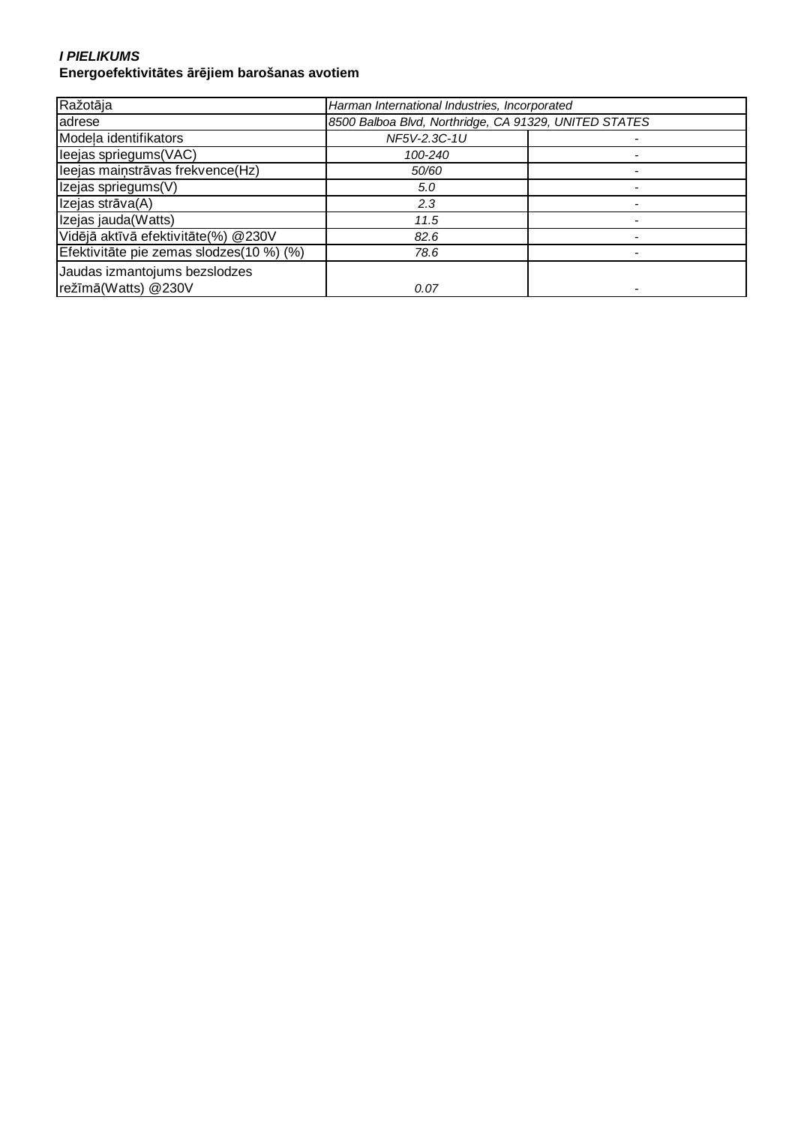#### **I PIELIKUMS Energoefektivitātes ārējiem barošanas avotiem**

| Ražotāja                                 | Harman International Industries, Incorporated         |  |
|------------------------------------------|-------------------------------------------------------|--|
| adrese                                   | 8500 Balboa Blvd, Northridge, CA 91329, UNITED STATES |  |
| Modela identifikators                    | NF5V-2.3C-1U                                          |  |
| leejas spriegums(VAC)                    | 100-240                                               |  |
| leejas mainstrāvas frekvence(Hz)         | 50/60                                                 |  |
| Izejas spriegums(V)                      | 5.0                                                   |  |
| Izejas strāva(A)                         | 2.3                                                   |  |
| Izejas jauda(Watts)                      | 11.5                                                  |  |
| Vidējā aktīvā efektivitāte(%) @230V      | 82.6                                                  |  |
| Efektivitāte pie zemas slodzes(10 %) (%) | 78.6                                                  |  |
| Jaudas izmantojums bezslodzes            |                                                       |  |
| režīmā(Watts) @230V                      | 0.07                                                  |  |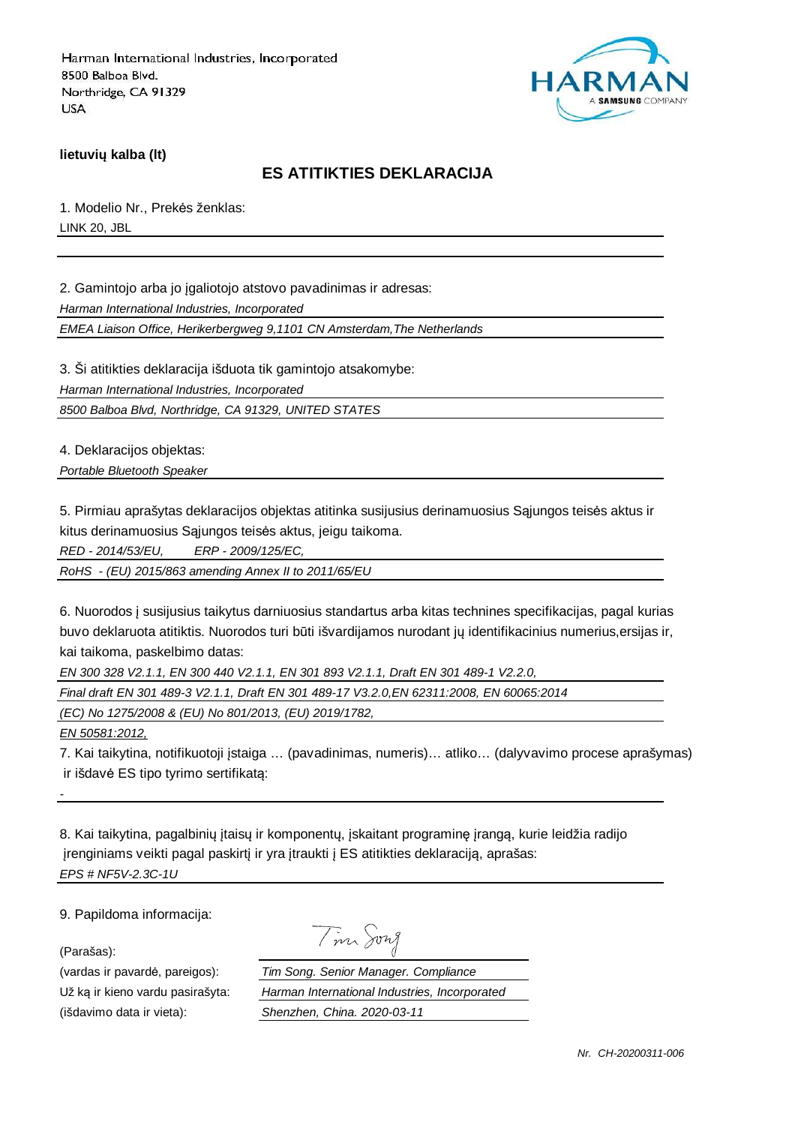

**lietuvių kalba (lt)**

### **ES ATITIKTIES DEKLARACIJA**

1. Modelio Nr., Prekės ženklas: LINK 20, JBL

2. Gamintojo arba jo įgaliotojo atstovo pavadinimas ir adresas:

Harman International Industries, Incorporated

EMEA Liaison Office, Herikerbergweg 9,1101 CN Amsterdam,The Netherlands

3. Ši atitikties deklaracija išduota tik gamintojo atsakomybe:

Harman International Industries, Incorporated

8500 Balboa Blvd, Northridge, CA 91329, UNITED STATES

4. Deklaracijos objektas:

Portable Bluetooth Speaker

5. Pirmiau aprašytas deklaracijos objektas atitinka susijusius derinamuosius Sąjungos teisės aktus ir kitus derinamuosius Sąjungos teisės aktus, jeigu taikoma.

RED - 2014/53/EU, ERP - 2009/125/EC,

RoHS - (EU) 2015/863 amending Annex II to 2011/65/EU

6. Nuorodos į susijusius taikytus darniuosius standartus arba kitas technines specifikacijas, pagal kurias buvo deklaruota atitiktis. Nuorodos turi būti išvardijamos nurodant jų identifikacinius numerius,ersijas ir, kai taikoma, paskelbimo datas:

EN 300 328 V2.1.1, EN 300 440 V2.1.1, EN 301 893 V2.1.1, Draft EN 301 489-1 V2.2.0,

Final draft EN 301 489-3 V2.1.1, Draft EN 301 489-17 V3.2.0,EN 62311:2008, EN 60065:2014

(EC) No 1275/2008 & (EU) No 801/2013, (EU) 2019/1782,

EN 50581:2012,

-

7. Kai taikytina, notifikuotoji įstaiga … (pavadinimas, numeris)… atliko… (dalyvavimo procese aprašymas) ir išdavė ES tipo tyrimo sertifikatą:

8. Kai taikytina, pagalbinių įtaisų ir komponentų, įskaitant programinę įrangą, kurie leidžia radijo įrenginiams veikti pagal paskirtį ir yra įtraukti į ES atitikties deklaraciją, aprašas: EPS # NF5V-2.3C-1U

9. Papildoma informacija:

(Parašas):

(išdavimo data ir vieta): Shenzhen, China. 2020-03-11

Tim Song

(vardas ir pavardė, pareigos): Tim Song. Senior Manager. Compliance Už ką ir kieno vardu pasirašyta: Harman International Industries, Incorporated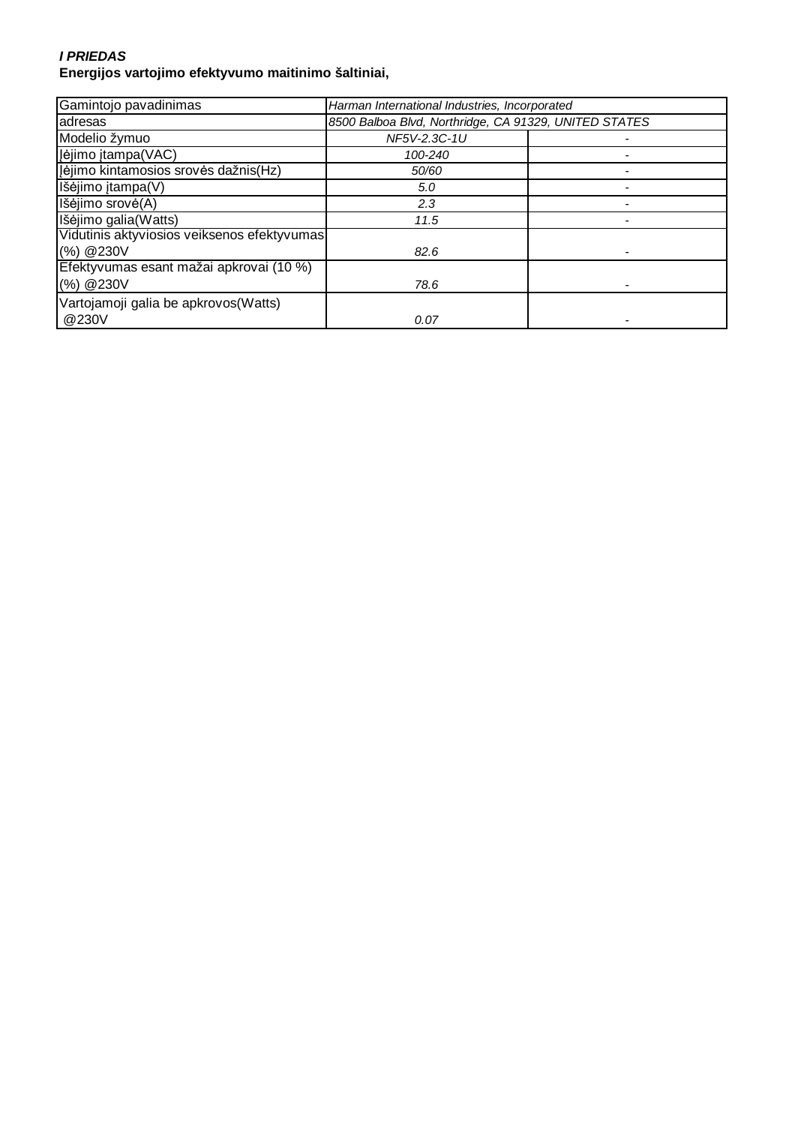#### **I PRIEDAS Energijos vartojimo efektyvumo maitinimo šaltiniai,**

| Gamintojo pavadinimas                       | Harman International Industries, Incorporated         |  |
|---------------------------------------------|-------------------------------------------------------|--|
| adresas                                     | 8500 Balboa Blvd, Northridge, CA 91329, UNITED STATES |  |
| Modelio žymuo                               | NF5V-2.3C-1U                                          |  |
| Įėjimo įtampa(VAC)                          | 100-240                                               |  |
| Jėjimo kintamosios srovės dažnis(Hz)        | 50/60                                                 |  |
| Išėjimo įtampa(V)                           | 5.0                                                   |  |
| Išėjimo srovė(A)                            | 2.3                                                   |  |
| Išėjimo galia(Watts)                        | 11.5                                                  |  |
| Vidutinis aktyviosios veiksenos efektyvumas |                                                       |  |
| (%) @230V                                   | 82.6                                                  |  |
| Efektyvumas esant mažai apkrovai (10 %)     |                                                       |  |
| (%) @230V                                   | 78.6                                                  |  |
| Vartojamoji galia be apkrovos (Watts)       |                                                       |  |
| @230V                                       | 0.07                                                  |  |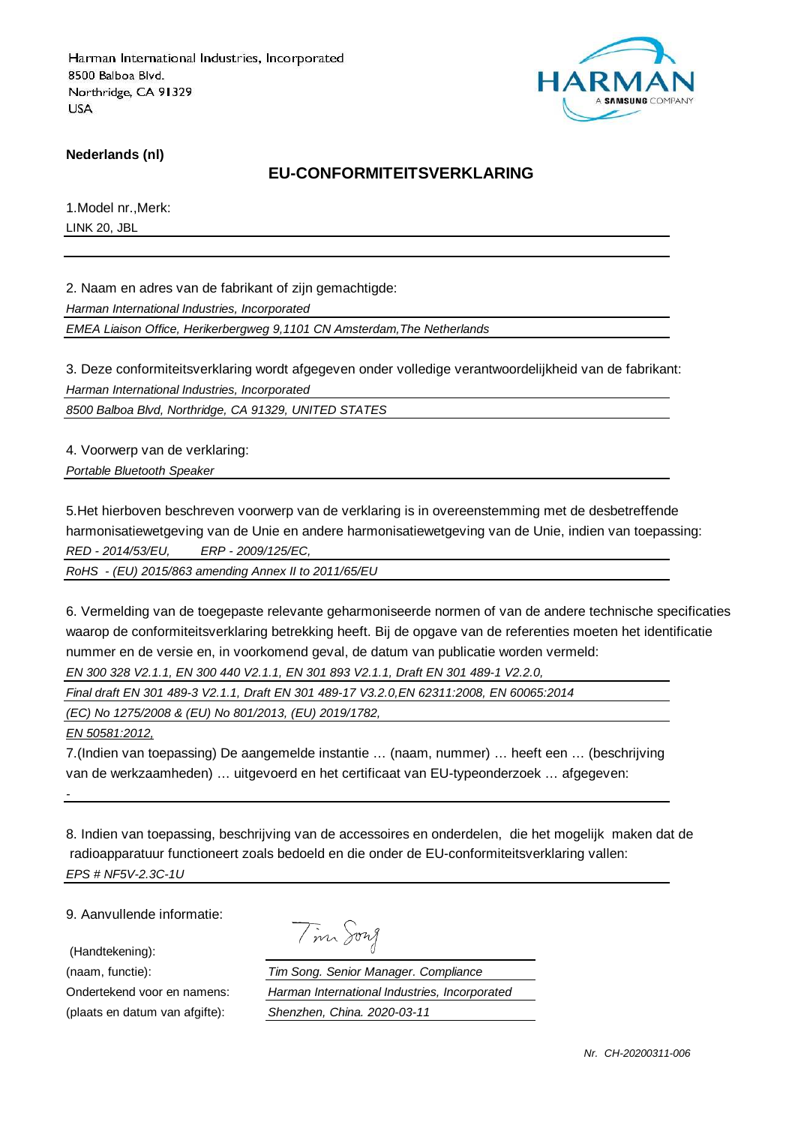

**Nederlands (nl)**

### **EU-CONFORMITEITSVERKLARING**

1.Model nr.,Merk: LINK 20, JBL

2. Naam en adres van de fabrikant of zijn gemachtigde:

Harman International Industries, Incorporated

EMEA Liaison Office, Herikerbergweg 9,1101 CN Amsterdam,The Netherlands

3. Deze conformiteitsverklaring wordt afgegeven onder volledige verantwoordelijkheid van de fabrikant: Harman International Industries, Incorporated

8500 Balboa Blvd, Northridge, CA 91329, UNITED STATES

4. Voorwerp van de verklaring:

Portable Bluetooth Speaker

5.Het hierboven beschreven voorwerp van de verklaring is in overeenstemming met de desbetreffende harmonisatiewetgeving van de Unie en andere harmonisatiewetgeving van de Unie, indien van toepassing: RED - 2014/53/EU, ERP - 2009/125/EC,

RoHS - (EU) 2015/863 amending Annex II to 2011/65/EU

6. Vermelding van de toegepaste relevante geharmoniseerde normen of van de andere technische specificaties waarop de conformiteitsverklaring betrekking heeft. Bij de opgave van de referenties moeten het identificatie nummer en de versie en, in voorkomend geval, de datum van publicatie worden vermeld: EN 300 328 V2.1.1, EN 300 440 V2.1.1, EN 301 893 V2.1.1, Draft EN 301 489-1 V2.2.0,

Final draft EN 301 489-3 V2.1.1, Draft EN 301 489-17 V3.2.0,EN 62311:2008, EN 60065:2014

(EC) No 1275/2008 & (EU) No 801/2013, (EU) 2019/1782,

EN 50581:2012,

-

7.(Indien van toepassing) De aangemelde instantie … (naam, nummer) … heeft een … (beschrijving van de werkzaamheden) … uitgevoerd en het certificaat van EU-typeonderzoek … afgegeven:

8. Indien van toepassing, beschrijving van de accessoires en onderdelen, die het mogelijk maken dat de radioapparatuur functioneert zoals bedoeld en die onder de EU-conformiteitsverklaring vallen: EPS # NF5V-2.3C-1U

9. Aanvullende informatie:

(Handtekening):

Tim Song

(naam, functie): Tim Song. Senior Manager. Compliance Ondertekend voor en namens: Harman International Industries, Incorporated (plaats en datum van afgifte): Shenzhen, China. 2020-03-11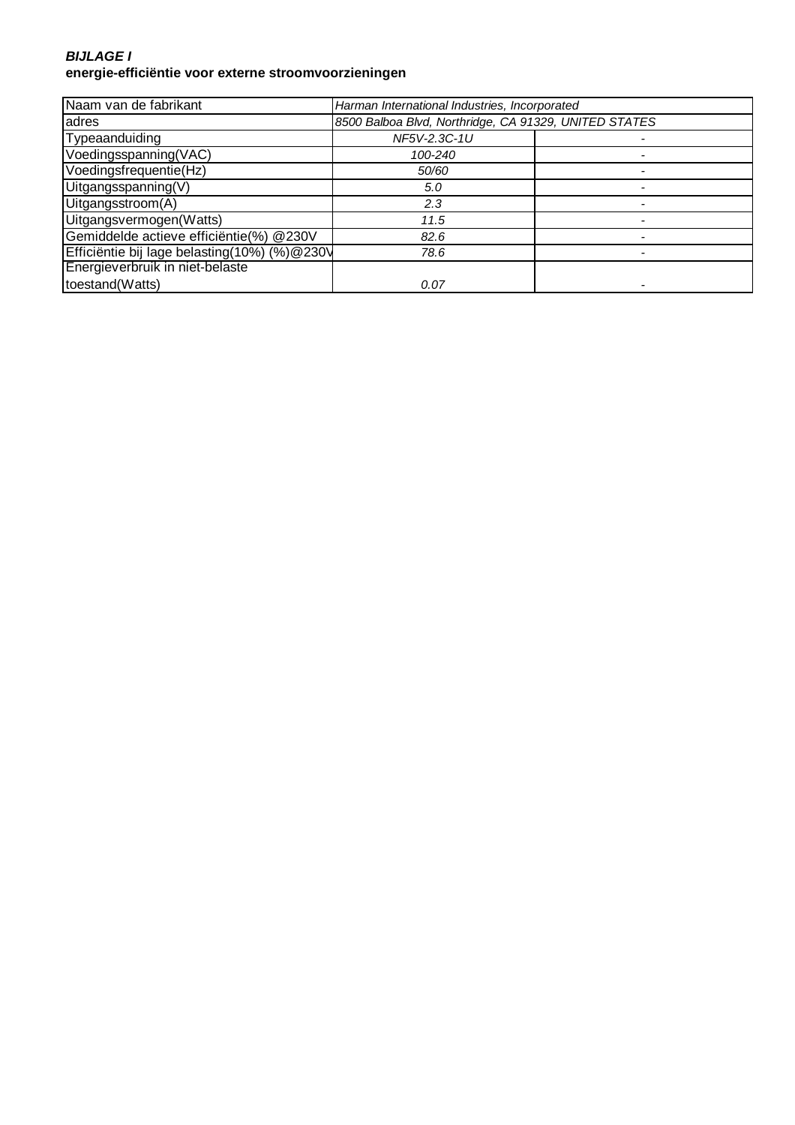#### **BIJLAGE I energie-efficiëntie voor externe stroomvoorzieningen**

| Naam van de fabrikant                        | Harman International Industries, Incorporated         |  |
|----------------------------------------------|-------------------------------------------------------|--|
| adres                                        | 8500 Balboa Blvd, Northridge, CA 91329, UNITED STATES |  |
| Typeaanduiding                               | NF5V-2.3C-1U                                          |  |
| Voedingsspanning(VAC)                        | 100-240                                               |  |
| Voedingsfrequentie(Hz)                       | 50/60                                                 |  |
| Uitgangsspanning(V)                          | 5.0                                                   |  |
| Uitgangsstroom(A)                            | 2.3                                                   |  |
| Uitgangsvermogen(Watts)                      | 11.5                                                  |  |
| Gemiddelde actieve efficiëntie(%) @230V      | 82.6                                                  |  |
| Efficiëntie bij lage belasting(10%) (%)@230V | 78.6                                                  |  |
| Energieverbruik in niet-belaste              |                                                       |  |
| toestand(Watts)                              | 0.07                                                  |  |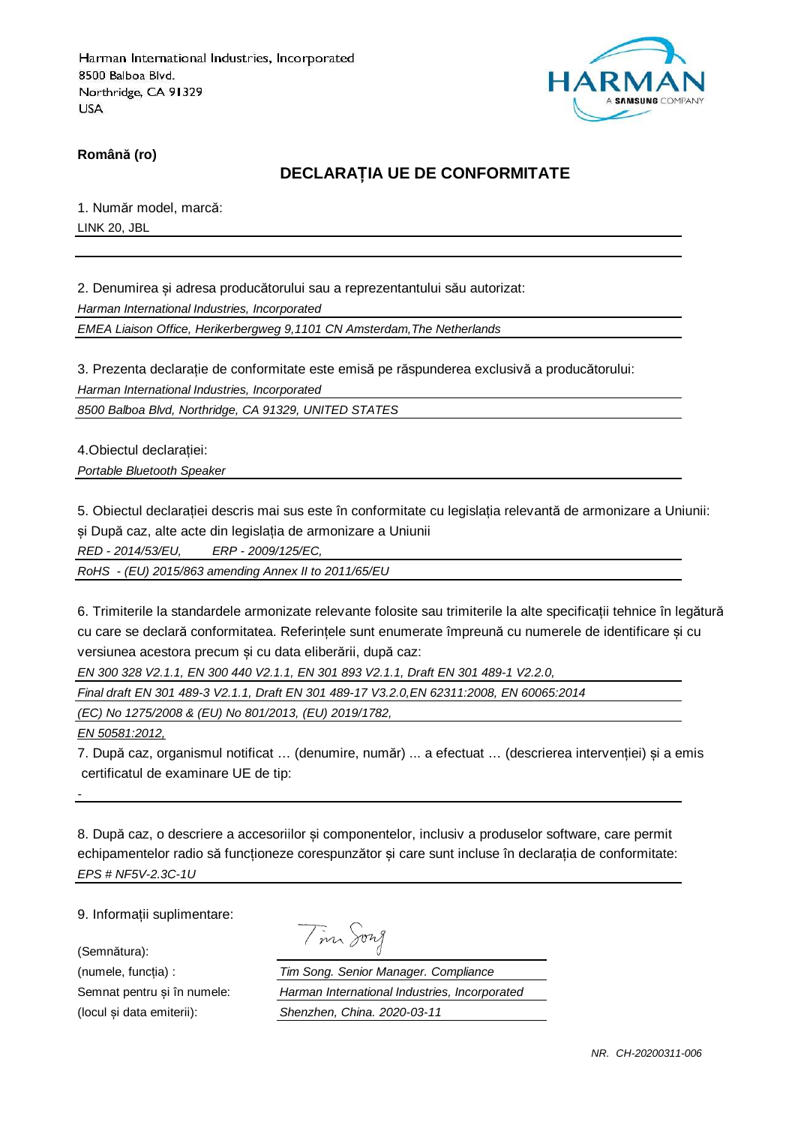

**Română (ro)**

## **DECLARAȚIA UE DE CONFORMITATE**

1. Număr model, marcă: LINK 20, JBL

2. Denumirea și adresa producătorului sau a reprezentantului său autorizat:

Harman International Industries, Incorporated

EMEA Liaison Office, Herikerbergweg 9,1101 CN Amsterdam,The Netherlands

3. Prezenta declarație de conformitate este emisă pe răspunderea exclusivă a producătorului:

Harman International Industries, Incorporated

8500 Balboa Blvd, Northridge, CA 91329, UNITED STATES

4.Obiectul declarației:

Portable Bluetooth Speaker

5. Obiectul declarației descris mai sus este în conformitate cu legislația relevantă de armonizare a Uniunii: și După caz, alte acte din legislația de armonizare a Uniunii

RED - 2014/53/EU, ERP - 2009/125/EC,

RoHS - (EU) 2015/863 amending Annex II to 2011/65/EU

6. Trimiterile la standardele armonizate relevante folosite sau trimiterile la alte specificații tehnice în legătură cu care se declară conformitatea. Referințele sunt enumerate împreună cu numerele de identificare și cu versiunea acestora precum și cu data eliberării, după caz:

EN 300 328 V2.1.1, EN 300 440 V2.1.1, EN 301 893 V2.1.1, Draft EN 301 489-1 V2.2.0,

Final draft EN 301 489-3 V2.1.1, Draft EN 301 489-17 V3.2.0,EN 62311:2008, EN 60065:2014

(EC) No 1275/2008 & (EU) No 801/2013, (EU) 2019/1782,

EN 50581:2012,

-

7. După caz, organismul notificat … (denumire, număr) ... a efectuat … (descrierea intervenției) și a emis certificatul de examinare UE de tip:

8. După caz, o descriere a accesoriilor și componentelor, inclusiv a produselor software, care permit echipamentelor radio să funcționeze corespunzător și care sunt incluse în declarația de conformitate: EPS # NF5V-2.3C-1U

9. Informații suplimentare:

(Semnătura):

| $\boldsymbol{\mathcal{M}}$ | าพา |
|----------------------------|-----|
|                            |     |

(numele, funcția) : Tim Song. Senior Manager. Compliance Semnat pentru și în numele: Harman International Industries, Incorporated (locul și data emiterii): Shenzhen, China. 2020-03-11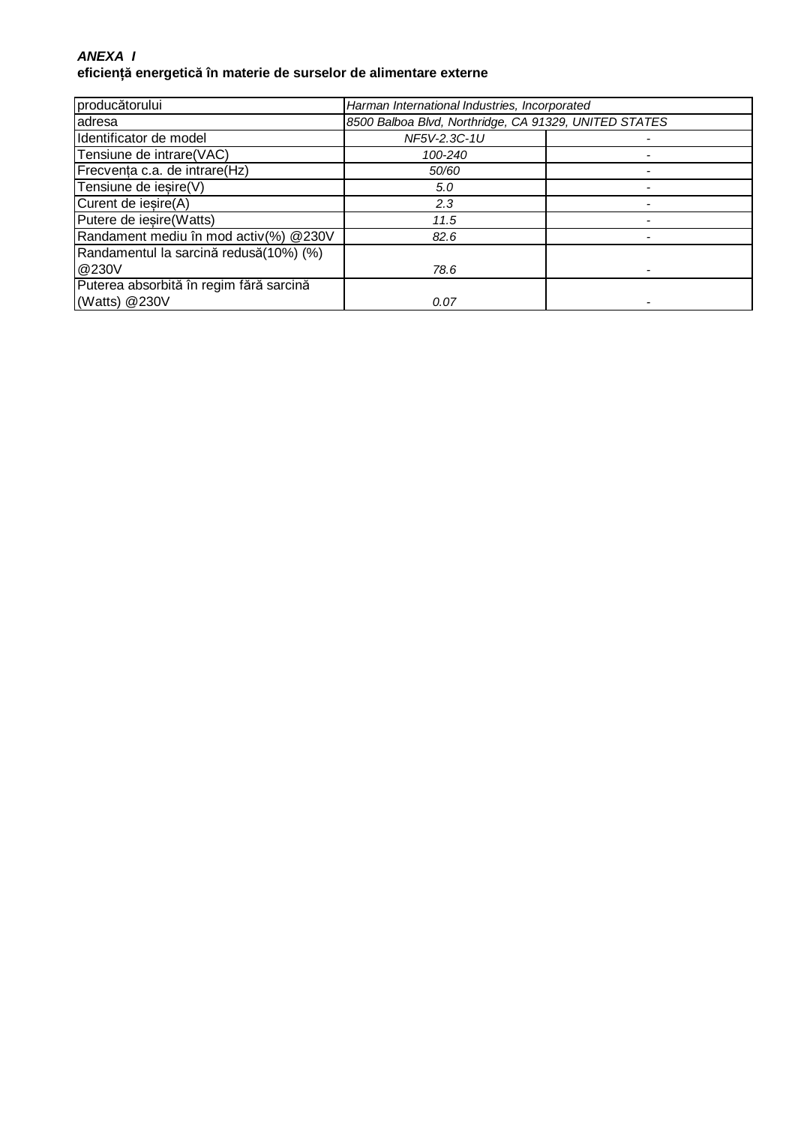#### **ANEXA I eficiență energetică în materie de surselor de alimentare externe**

| producătorului                          | Harman International Industries, Incorporated         |  |
|-----------------------------------------|-------------------------------------------------------|--|
| adresa                                  | 8500 Balboa Blvd, Northridge, CA 91329, UNITED STATES |  |
| Identificator de model                  | NF5V-2.3C-1U                                          |  |
| Tensiune de intrare(VAC)                | 100-240                                               |  |
| Frecvența c.a. de intrare(Hz)           | 50/60                                                 |  |
| Tensiune de iesire(V)                   | 5.0                                                   |  |
| Curent de iesire(A)                     | 2.3                                                   |  |
| Putere de iesire (Watts)                | 11.5                                                  |  |
| Randament mediu în mod activ(%) @230V   | 82.6                                                  |  |
| Randamentul la sarcină redusă(10%) (%)  |                                                       |  |
| @230V                                   | 78.6                                                  |  |
| Puterea absorbită în regim fără sarcină |                                                       |  |
| (Watts) @230V                           | 0.07                                                  |  |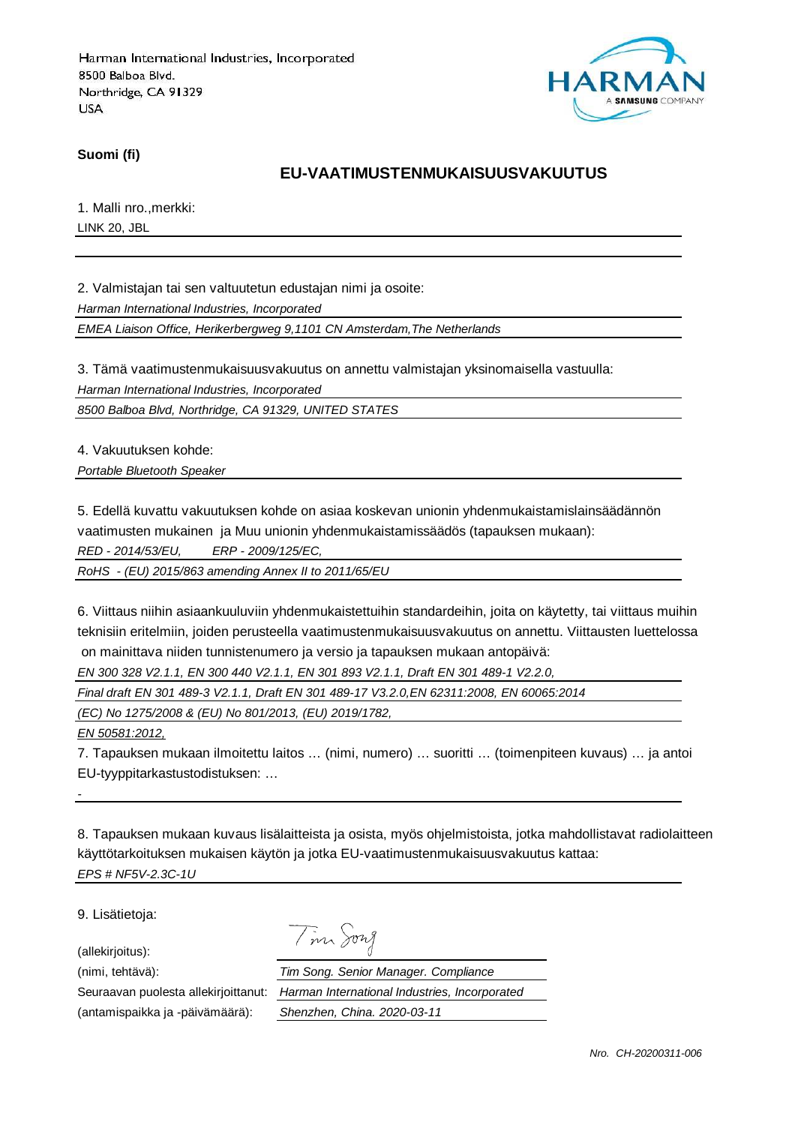

**Suomi (fi)**

### **EU-VAATIMUSTENMUKAISUUSVAKUUTUS**

1. Malli nro.,merkki: LINK 20, JBL

2. Valmistajan tai sen valtuutetun edustajan nimi ja osoite:

Harman International Industries, Incorporated

EMEA Liaison Office, Herikerbergweg 9,1101 CN Amsterdam,The Netherlands

3. Tämä vaatimustenmukaisuusvakuutus on annettu valmistajan yksinomaisella vastuulla:

Harman International Industries, Incorporated

8500 Balboa Blvd, Northridge, CA 91329, UNITED STATES

4. Vakuutuksen kohde:

Portable Bluetooth Speaker

5. Edellä kuvattu vakuutuksen kohde on asiaa koskevan unionin yhdenmukaistamislainsäädännön

vaatimusten mukainen ja Muu unionin yhdenmukaistamissäädös (tapauksen mukaan):

RED - 2014/53/EU, ERP - 2009/125/EC,

RoHS - (EU) 2015/863 amending Annex II to 2011/65/EU

6. Viittaus niihin asiaankuuluviin yhdenmukaistettuihin standardeihin, joita on käytetty, tai viittaus muihin teknisiin eritelmiin, joiden perusteella vaatimustenmukaisuusvakuutus on annettu. Viittausten luettelossa on mainittava niiden tunnistenumero ja versio ja tapauksen mukaan antopäivä:

EN 300 328 V2.1.1, EN 300 440 V2.1.1, EN 301 893 V2.1.1, Draft EN 301 489-1 V2.2.0,

Final draft EN 301 489-3 V2.1.1, Draft EN 301 489-17 V3.2.0,EN 62311:2008, EN 60065:2014

(EC) No 1275/2008 & (EU) No 801/2013, (EU) 2019/1782,

EN 50581:2012,

-

7. Tapauksen mukaan ilmoitettu laitos … (nimi, numero) … suoritti … (toimenpiteen kuvaus) … ja antoi EU-tyyppitarkastustodistuksen: …

8. Tapauksen mukaan kuvaus lisälaitteista ja osista, myös ohjelmistoista, jotka mahdollistavat radiolaitteen käyttötarkoituksen mukaisen käytön ja jotka EU-vaatimustenmukaisuusvakuutus kattaa: EPS # NF5V-2.3C-1U

9. Lisätietoja:

(allekirjoitus):

(antamispaikka ja -päivämäärä): Shenzhen, China. 2020-03-11

Tim Song

(nimi, tehtävä): Tim Song. Senior Manager. Compliance Seuraavan puolesta allekirjoittanut: Harman International Industries, Incorporated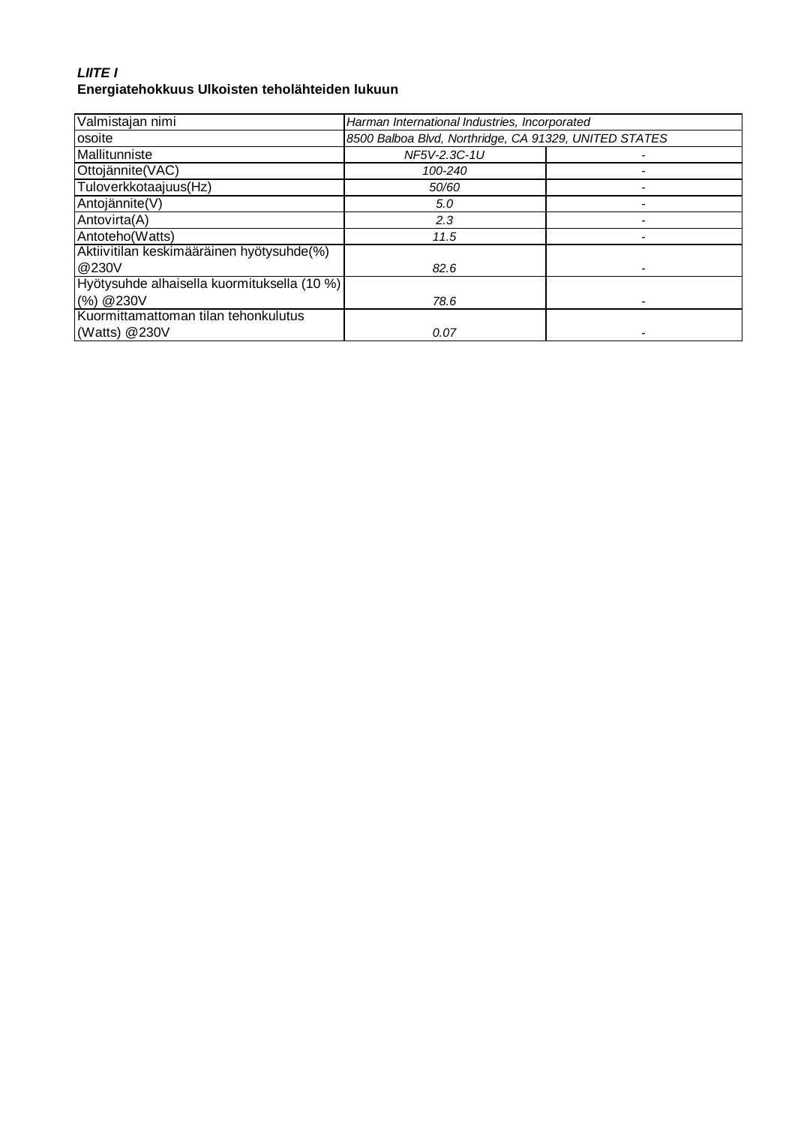## **LIITE I Energiatehokkuus Ulkoisten teholähteiden lukuun**

| Valmistajan nimi                            | Harman International Industries, Incorporated         |  |
|---------------------------------------------|-------------------------------------------------------|--|
| osoite                                      | 8500 Balboa Blvd, Northridge, CA 91329, UNITED STATES |  |
| Mallitunniste                               | NF5V-2.3C-1U                                          |  |
| Ottojännite(VAC)                            | 100-240                                               |  |
| Tuloverkkotaajuus(Hz)                       | 50/60                                                 |  |
| Antojännite(V)                              | 5.0                                                   |  |
| Antovirta(A)                                | 2.3                                                   |  |
| Antoteho(Watts)                             | 11.5                                                  |  |
| Aktiivitilan keskimääräinen hyötysuhde(%)   |                                                       |  |
| @230V                                       | 82.6                                                  |  |
| Hyötysuhde alhaisella kuormituksella (10 %) |                                                       |  |
| (%) @ 230V                                  | 78.6                                                  |  |
| Kuormittamattoman tilan tehonkulutus        |                                                       |  |
| (Watts) $@230V$                             | 0.07                                                  |  |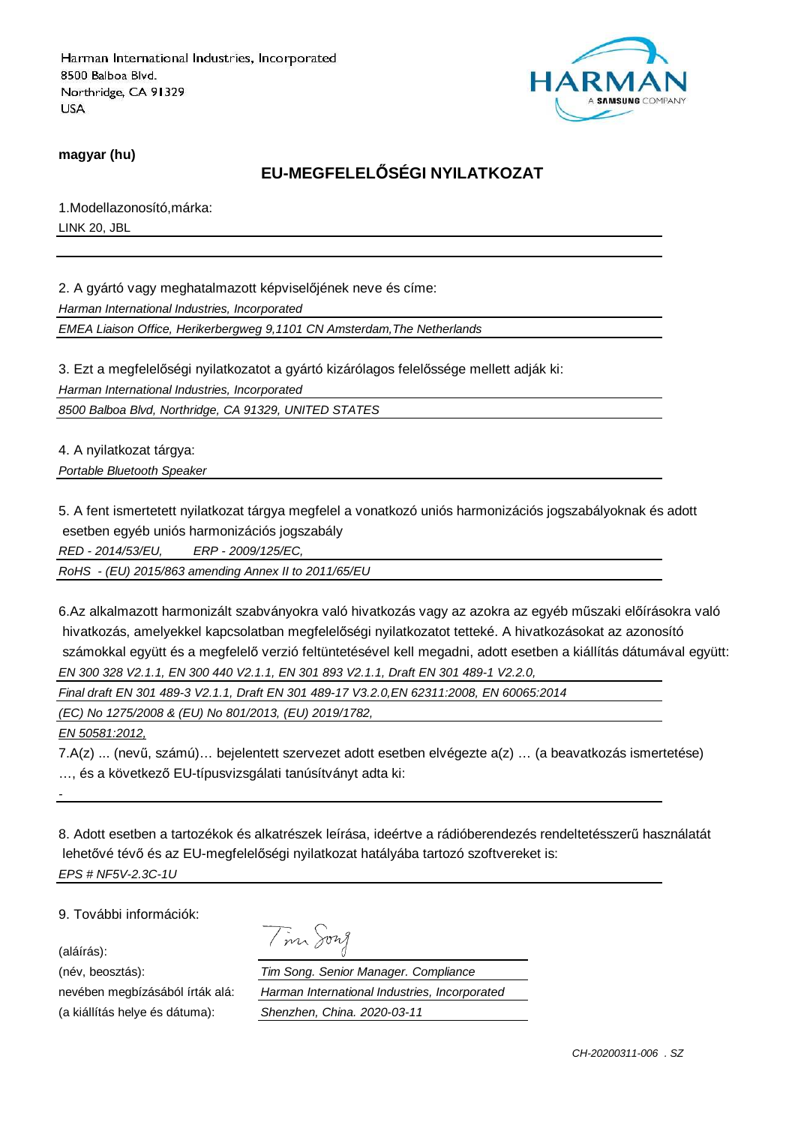

**magyar (hu)**

## **EU-MEGFELELŐSÉGI NYILATKOZAT**

1.Modellazonosító,márka: LINK 20, JBL

2. A gyártó vagy meghatalmazott képviselőjének neve és címe:

Harman International Industries, Incorporated

EMEA Liaison Office, Herikerbergweg 9,1101 CN Amsterdam,The Netherlands

3. Ezt a megfelelőségi nyilatkozatot a gyártó kizárólagos felelőssége mellett adják ki:

Harman International Industries, Incorporated

8500 Balboa Blvd, Northridge, CA 91329, UNITED STATES

4. A nyilatkozat tárgya:

Portable Bluetooth Speaker

5. A fent ismertetett nyilatkozat tárgya megfelel a vonatkozó uniós harmonizációs jogszabályoknak és adott esetben egyéb uniós harmonizációs jogszabály

RED - 2014/53/EU, ERP - 2009/125/EC,

RoHS - (EU) 2015/863 amending Annex II to 2011/65/EU

6.Az alkalmazott harmonizált szabványokra való hivatkozás vagy az azokra az egyéb műszaki előírásokra való hivatkozás, amelyekkel kapcsolatban megfelelőségi nyilatkozatot tetteké. A hivatkozásokat az azonosító számokkal együtt és a megfelelő verzió feltüntetésével kell megadni, adott esetben a kiállítás dátumával együtt: EN 300 328 V2.1.1, EN 300 440 V2.1.1, EN 301 893 V2.1.1, Draft EN 301 489-1 V2.2.0,

Final draft EN 301 489-3 V2.1.1, Draft EN 301 489-17 V3.2.0,EN 62311:2008, EN 60065:2014

Tim Song

(EC) No 1275/2008 & (EU) No 801/2013, (EU) 2019/1782,

EN 50581:2012,

7.A(z) ... (nevű, számú)… bejelentett szervezet adott esetben elvégezte a(z) … (a beavatkozás ismertetése) …, és a következő EU-típusvizsgálati tanúsítványt adta ki:

8. Adott esetben a tartozékok és alkatrészek leírása, ideértve a rádióberendezés rendeltetésszerű használatát lehetővé tévő és az EU-megfelelőségi nyilatkozat hatályába tartozó szoftvereket is: EPS # NF5V-2.3C-1U

9. További információk:

(aláírás):

-

(név, beosztás):

nevében megbízásából írták alá: (a kiállítás helye és dátuma):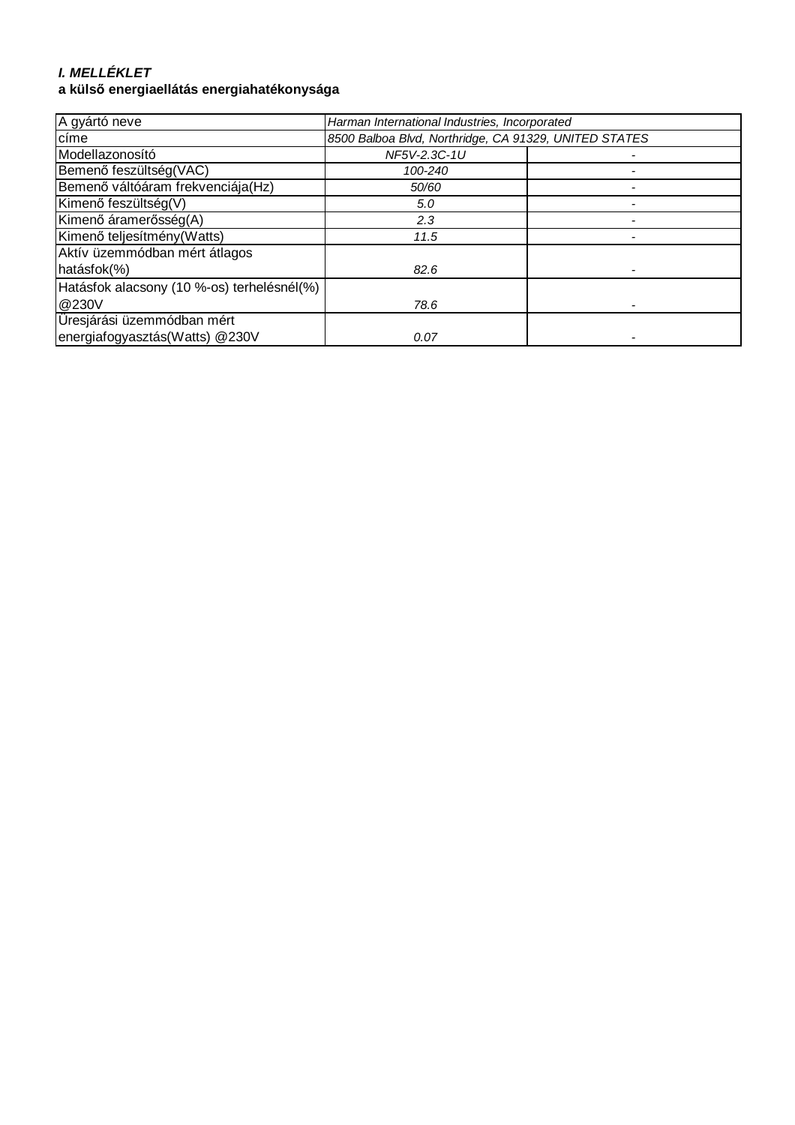# **I. MELLÉKLET**

## **a külső energiaellátás energiahatékonysága**

| A gyártó neve                              | Harman International Industries, Incorporated         |  |
|--------------------------------------------|-------------------------------------------------------|--|
| címe                                       | 8500 Balboa Blvd, Northridge, CA 91329, UNITED STATES |  |
| Modellazonosító                            | NF5V-2.3C-1U                                          |  |
| Bemenő feszültség(VAC)                     | 100-240                                               |  |
| Bemenő váltóáram frekvenciája(Hz)          | 50/60                                                 |  |
| Kimenő feszültség(V)                       | 5.0                                                   |  |
| Kimenő áramerősség(A)                      | 2.3                                                   |  |
| Kimenő teljesítmény (Watts)                | 11.5                                                  |  |
| Aktív üzemmódban mért átlagos              |                                                       |  |
| hatásfok(%)                                | 82.6                                                  |  |
| Hatásfok alacsony (10 %-os) terhelésnél(%) |                                                       |  |
| @230V                                      | 78.6                                                  |  |
| Üresjárási üzemmódban mért                 |                                                       |  |
| energiafogyasztás(Watts) @230V             | 0.07                                                  |  |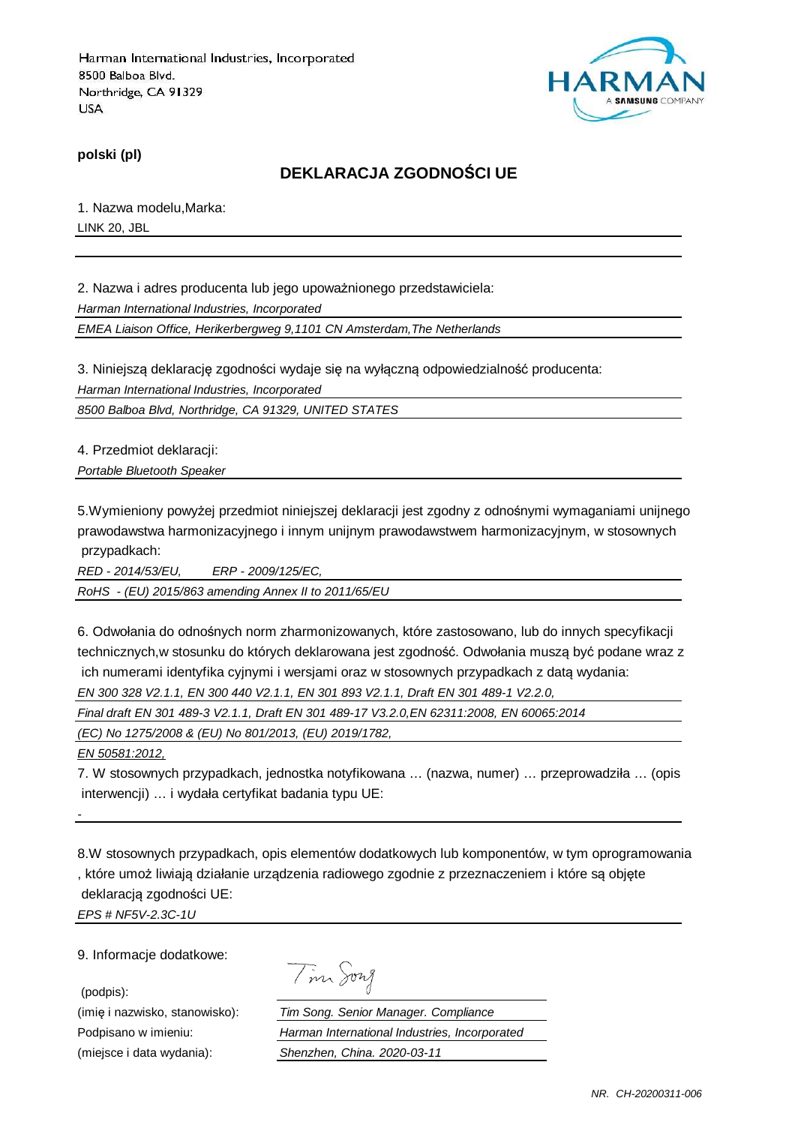

**polski (pl)**

### **DEKLARACJA ZGODNOŚCI UE**

1. Nazwa modelu,Marka: LINK 20, JBL

2. Nazwa i adres producenta lub jego upoważnionego przedstawiciela: Harman International Industries, Incorporated

EMEA Liaison Office, Herikerbergweg 9,1101 CN Amsterdam,The Netherlands

3. Niniejszą deklarację zgodności wydaje się na wyłączną odpowiedzialność producenta: Harman International Industries, Incorporated

8500 Balboa Blvd, Northridge, CA 91329, UNITED STATES

4. Przedmiot deklaracji:

Portable Bluetooth Speaker

5.Wymieniony powyżej przedmiot niniejszej deklaracji jest zgodny z odnośnymi wymaganiami unijnego prawodawstwa harmonizacyjnego i innym unijnym prawodawstwem harmonizacyjnym, w stosownych przypadkach:

RED - 2014/53/EU, ERP - 2009/125/EC,

RoHS - (EU) 2015/863 amending Annex II to 2011/65/EU

6. Odwołania do odnośnych norm zharmonizowanych, które zastosowano, lub do innych specyfikacji technicznych,w stosunku do których deklarowana jest zgodność. Odwołania muszą być podane wraz z ich numerami identyfika cyjnymi i wersjami oraz w stosownych przypadkach z datą wydania:

EN 300 328 V2.1.1, EN 300 440 V2.1.1, EN 301 893 V2.1.1, Draft EN 301 489-1 V2.2.0,

Final draft EN 301 489-3 V2.1.1, Draft EN 301 489-17 V3.2.0,EN 62311:2008, EN 60065:2014

(EC) No 1275/2008 & (EU) No 801/2013, (EU) 2019/1782,

EN 50581:2012,

-

7. W stosownych przypadkach, jednostka notyfikowana … (nazwa, numer) … przeprowadziła … (opis interwencji) … i wydała certyfikat badania typu UE:

8.W stosownych przypadkach, opis elementów dodatkowych lub komponentów, w tym oprogramowania , które umoż liwiają działanie urządzenia radiowego zgodnie z przeznaczeniem i które są objęte deklaracją zgodności UE: EPS # NF5V-2.3C-1U

9. Informacje dodatkowe:

(podpis):

Tim Song

(imię i nazwisko, stanowisko): Tim Song. Senior Manager. Compliance Podpisano w imieniu: Harman International Industries, Incorporated (miejsce i data wydania): Shenzhen, China. 2020-03-11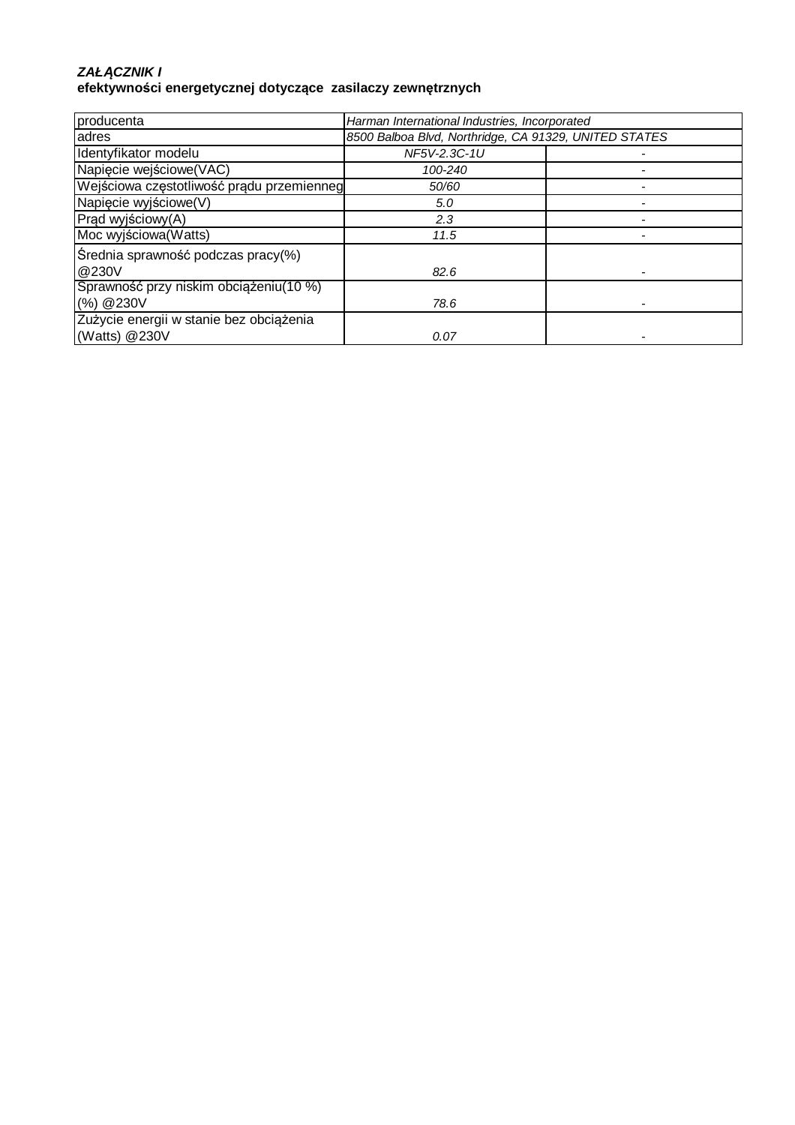#### **ZAŁ***Ą***CZNIK I efektywności energetycznej dotyczące zasilaczy zewnętrznych**

| producenta                                | Harman International Industries, Incorporated         |  |
|-------------------------------------------|-------------------------------------------------------|--|
| adres                                     | 8500 Balboa Blvd, Northridge, CA 91329, UNITED STATES |  |
| Identyfikator modelu                      | NF5V-2.3C-1U                                          |  |
| Napięcie wejściowe(VAC)                   | 100-240                                               |  |
| Wejściowa częstotliwość prądu przemienneg | 50/60                                                 |  |
| Napięcie wyjściowe(V)                     | 5.0                                                   |  |
| Prąd wyjściowy(A)                         | 2.3                                                   |  |
| Moc wyjściowa (Watts)                     | 11.5                                                  |  |
| Średnia sprawność podczas pracy(%)        |                                                       |  |
| @230V                                     | 82.6                                                  |  |
| Sprawność przy niskim obciążeniu (10 %)   |                                                       |  |
| (%) @230V                                 | 78.6                                                  |  |
| Zużycie energii w stanie bez obciążenia   |                                                       |  |
| (Watts) @230V                             | 0.07                                                  |  |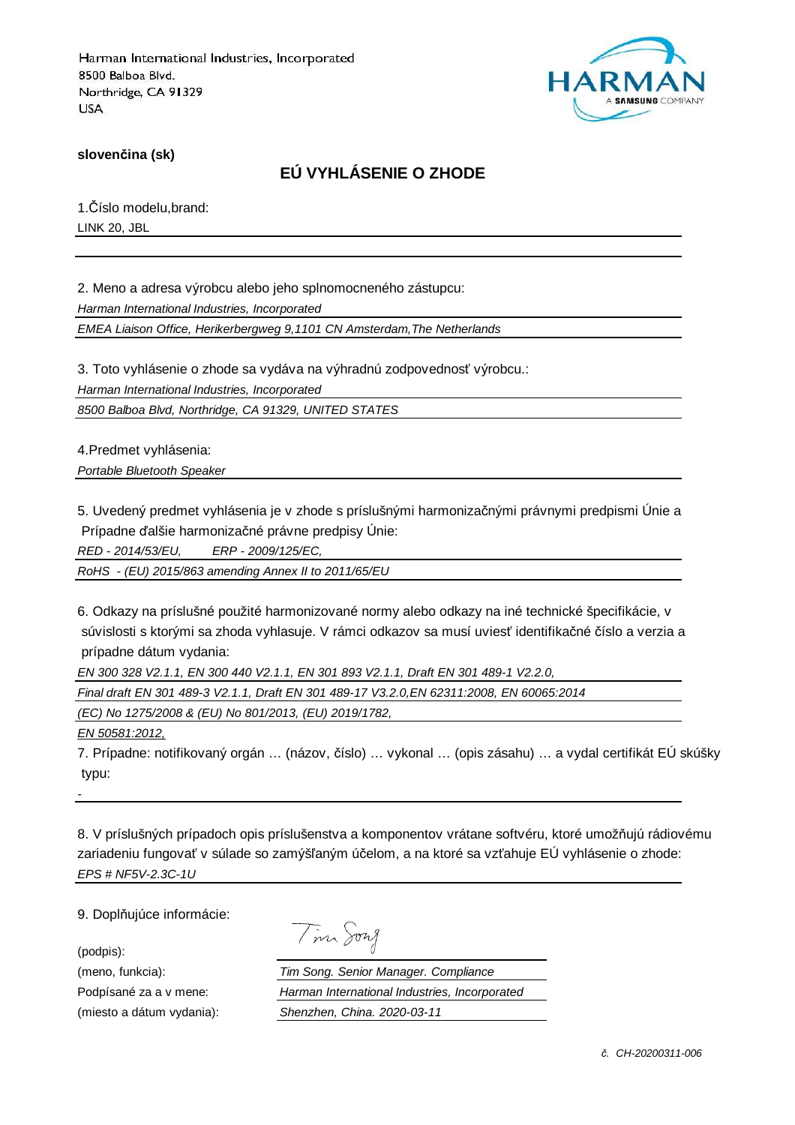

**slovenčina (sk)**

## **EÚ VYHLÁSENIE O ZHODE**

1.Číslo modelu,brand: LINK 20, JBL

2. Meno a adresa výrobcu alebo jeho splnomocneného zástupcu: Harman International Industries, Incorporated

EMEA Liaison Office, Herikerbergweg 9,1101 CN Amsterdam,The Netherlands

3. Toto vyhlásenie o zhode sa vydáva na výhradnú zodpovednosť výrobcu.:

Harman International Industries, Incorporated

8500 Balboa Blvd, Northridge, CA 91329, UNITED STATES

4.Predmet vyhlásenia: Portable Bluetooth Speaker

5. Uvedený predmet vyhlásenia je v zhode s príslušnými harmonizačnými právnymi predpismi Únie a Prípadne ďalšie harmonizačné právne predpisy Únie:

RED - 2014/53/EU, ERP - 2009/125/EC,

RoHS - (EU) 2015/863 amending Annex II to 2011/65/EU

6. Odkazy na príslušné použité harmonizované normy alebo odkazy na iné technické špecifikácie, v súvislosti s ktorými sa zhoda vyhlasuje. V rámci odkazov sa musí uviesť identifikačné číslo a verzia a prípadne dátum vydania:

EN 300 328 V2.1.1, EN 300 440 V2.1.1, EN 301 893 V2.1.1, Draft EN 301 489-1 V2.2.0,

Final draft EN 301 489-3 V2.1.1, Draft EN 301 489-17 V3.2.0,EN 62311:2008, EN 60065:2014

(EC) No 1275/2008 & (EU) No 801/2013, (EU) 2019/1782,

EN 50581:2012,

7. Prípadne: notifikovaný orgán … (názov, číslo) … vykonal … (opis zásahu) … a vydal certifikát EÚ skúšky typu:

8. V príslušných prípadoch opis príslušenstva a komponentov vrátane softvéru, ktoré umožňujú rádiovému zariadeniu fungovať v súlade so zamýšľaným účelom, a na ktoré sa vzťahuje EÚ vyhlásenie o zhode: EPS # NF5V-2.3C-1U

9. Doplňujúce informácie:

(podpis):

-

| $\Lambda_{\Lambda}$ | nri<br>Λ |
|---------------------|----------|
|                     |          |

(meno, funkcia): Tim Song. Senior Manager. Compliance Podpísané za a v mene: Harman International Industries, Incorporated (miesto a dátum vydania): Shenzhen, China. 2020-03-11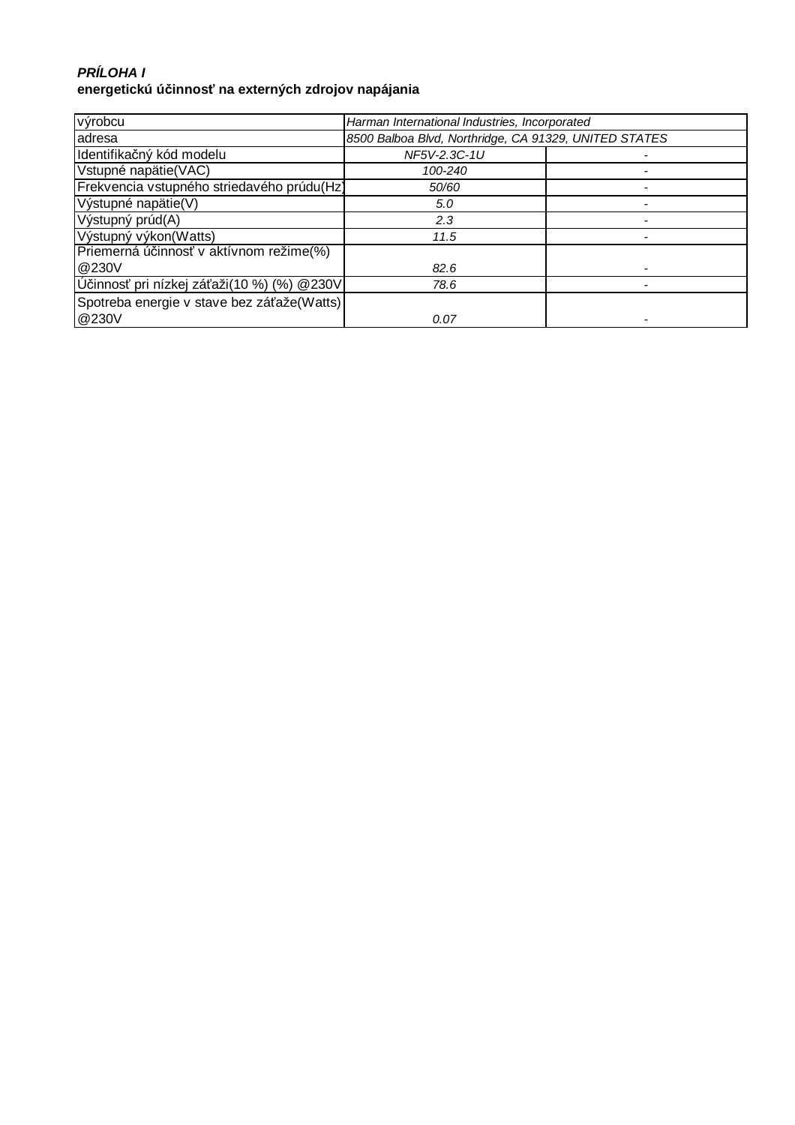### **PRÍLOHA I energetickú účinnosť na externých zdrojov napájania**

| výrobcu                                    | Harman International Industries, Incorporated         |  |
|--------------------------------------------|-------------------------------------------------------|--|
| adresa                                     | 8500 Balboa Blvd, Northridge, CA 91329, UNITED STATES |  |
| Identifikačný kód modelu                   | NF5V-2.3C-1U                                          |  |
| Vstupné napätie(VAC)                       | 100-240                                               |  |
| Frekvencia vstupného striedavého prúdu(Hz) | 50/60                                                 |  |
| Výstupné napätie(V)                        | 5.0                                                   |  |
| Výstupný prúd(A)                           | 2.3                                                   |  |
| Výstupný výkon(Watts)                      | 11.5                                                  |  |
| Priemerná účinnosť v aktívnom režime(%)    |                                                       |  |
| @230V                                      | 82.6                                                  |  |
| Účinnosť pri nízkej záťaži(10 %) (%) @230V | 78.6                                                  |  |
| Spotreba energie v stave bez záťaže(Watts) |                                                       |  |
| @230V                                      | 0.07                                                  |  |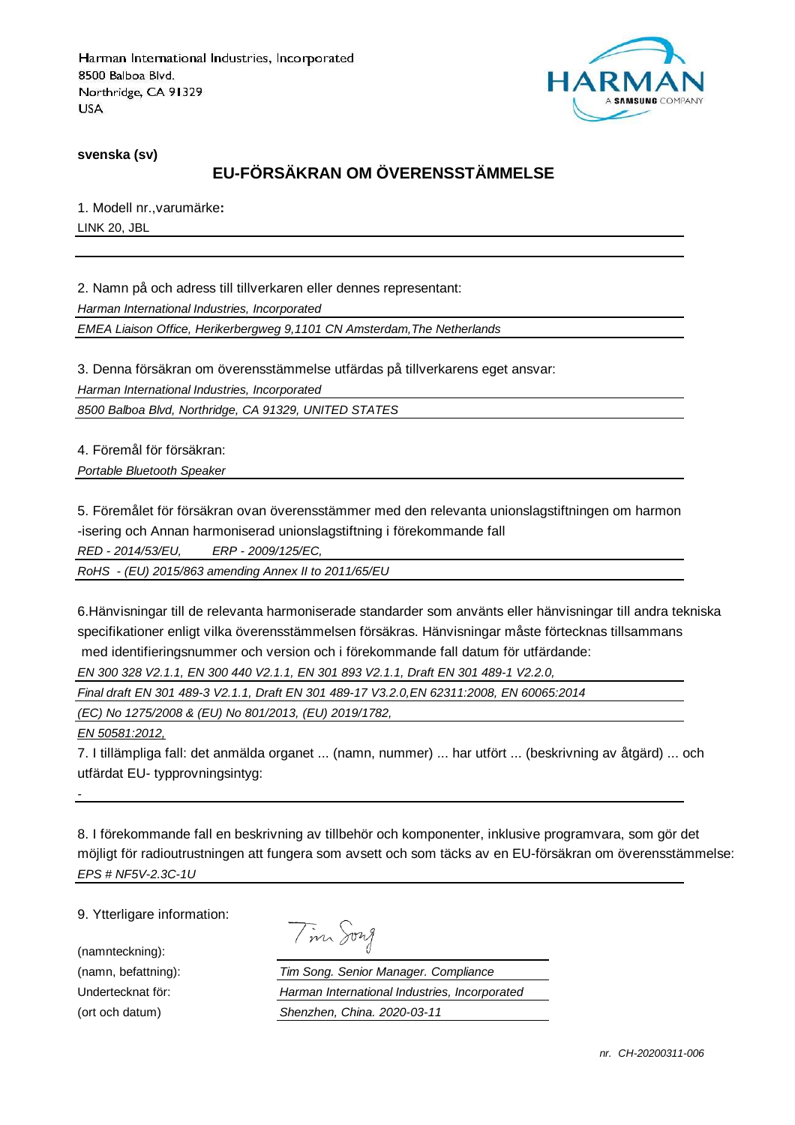

**svenska (sv)**

# **EU-FÖRSÄKRAN OM ÖVERENSSTÄMMELSE**

1. Modell nr.,varumärke**:** LINK 20, JBL

2. Namn på och adress till tillverkaren eller dennes representant:

Harman International Industries, Incorporated

EMEA Liaison Office, Herikerbergweg 9,1101 CN Amsterdam,The Netherlands

3. Denna försäkran om överensstämmelse utfärdas på tillverkarens eget ansvar:

Harman International Industries, Incorporated

8500 Balboa Blvd, Northridge, CA 91329, UNITED STATES

4. Föremål för försäkran: Portable Bluetooth Speaker

5. Föremålet för försäkran ovan överensstämmer med den relevanta unionslagstiftningen om harmon -isering och Annan harmoniserad unionslagstiftning i förekommande fall

RED - 2014/53/EU, ERP - 2009/125/EC,

RoHS - (EU) 2015/863 amending Annex II to 2011/65/EU

6.Hänvisningar till de relevanta harmoniserade standarder som använts eller hänvisningar till andra tekniska specifikationer enligt vilka överensstämmelsen försäkras. Hänvisningar måste förtecknas tillsammans med identifieringsnummer och version och i förekommande fall datum för utfärdande:

EN 300 328 V2.1.1, EN 300 440 V2.1.1, EN 301 893 V2.1.1, Draft EN 301 489-1 V2.2.0,

Final draft EN 301 489-3 V2.1.1, Draft EN 301 489-17 V3.2.0,EN 62311:2008, EN 60065:2014

(EC) No 1275/2008 & (EU) No 801/2013, (EU) 2019/1782,

EN 50581:2012,

-

7. I tillämpliga fall: det anmälda organet ... (namn, nummer) ... har utfört ... (beskrivning av åtgärd) ... och utfärdat EU- typprovningsintyg:

8. I förekommande fall en beskrivning av tillbehör och komponenter, inklusive programvara, som gör det möjligt för radioutrustningen att fungera som avsett och som täcks av en EU-försäkran om överensstämmelse: EPS # NF5V-2.3C-1U

9. Ytterligare information:

(namnteckning):

Tim Song

(namn, befattning): Tim Song. Senior Manager. Compliance Undertecknat för: Harman International Industries, Incorporated (ort och datum) Shenzhen, China. 2020-03-11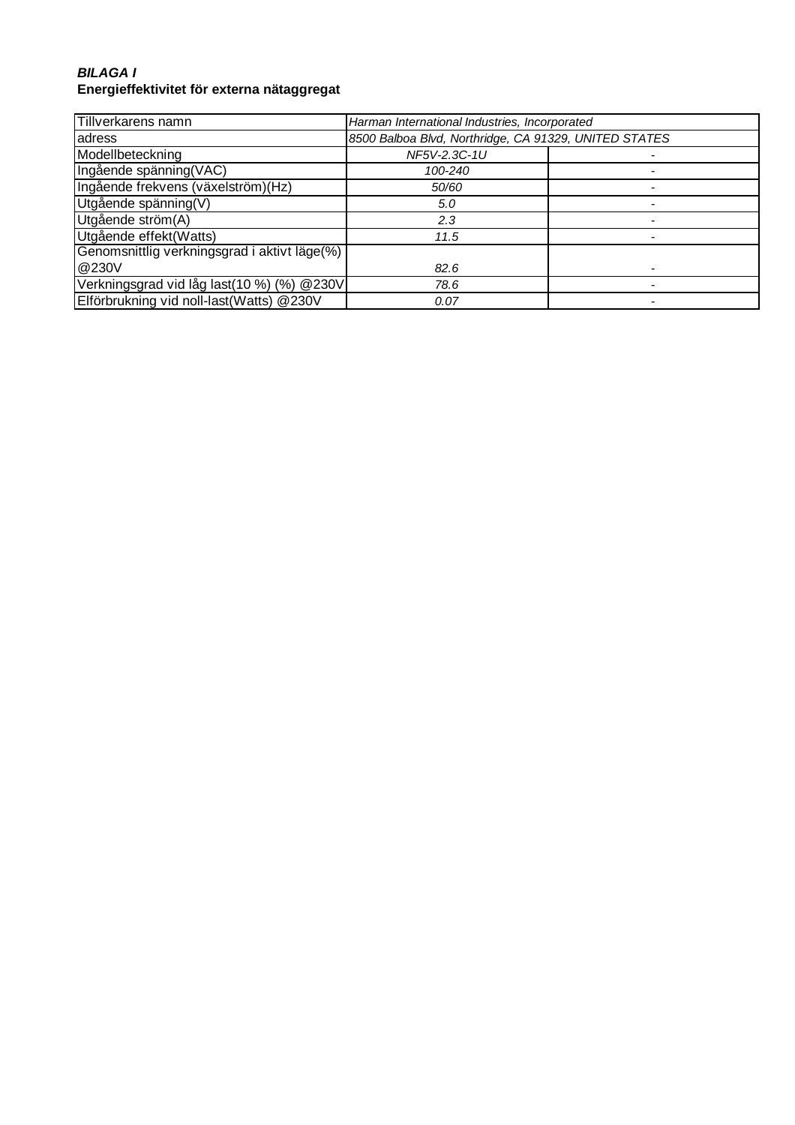#### **BILAGA I Energieffektivitet för externa nätaggregat**

| Tillverkarens namn                           | Harman International Industries, Incorporated         |  |
|----------------------------------------------|-------------------------------------------------------|--|
| adress                                       | 8500 Balboa Blvd, Northridge, CA 91329, UNITED STATES |  |
| Modellbeteckning                             | NF5V-2.3C-1U                                          |  |
| Ingående spänning(VAC)                       | 100-240                                               |  |
| Ingående frekvens (växelström)(Hz)           | 50/60                                                 |  |
| Utgående spänning(V)                         | 5.0                                                   |  |
| Utgående ström(A)                            | 2.3                                                   |  |
| Utgående effekt(Watts)                       | 11.5                                                  |  |
| Genomsnittlig verkningsgrad i aktivt läge(%) |                                                       |  |
| @230V                                        | 82.6                                                  |  |
| Verkningsgrad vid låg last(10 %) (%) @230V   | 78.6                                                  |  |
| Elförbrukning vid noll-last(Watts) @230V     | 0.07                                                  |  |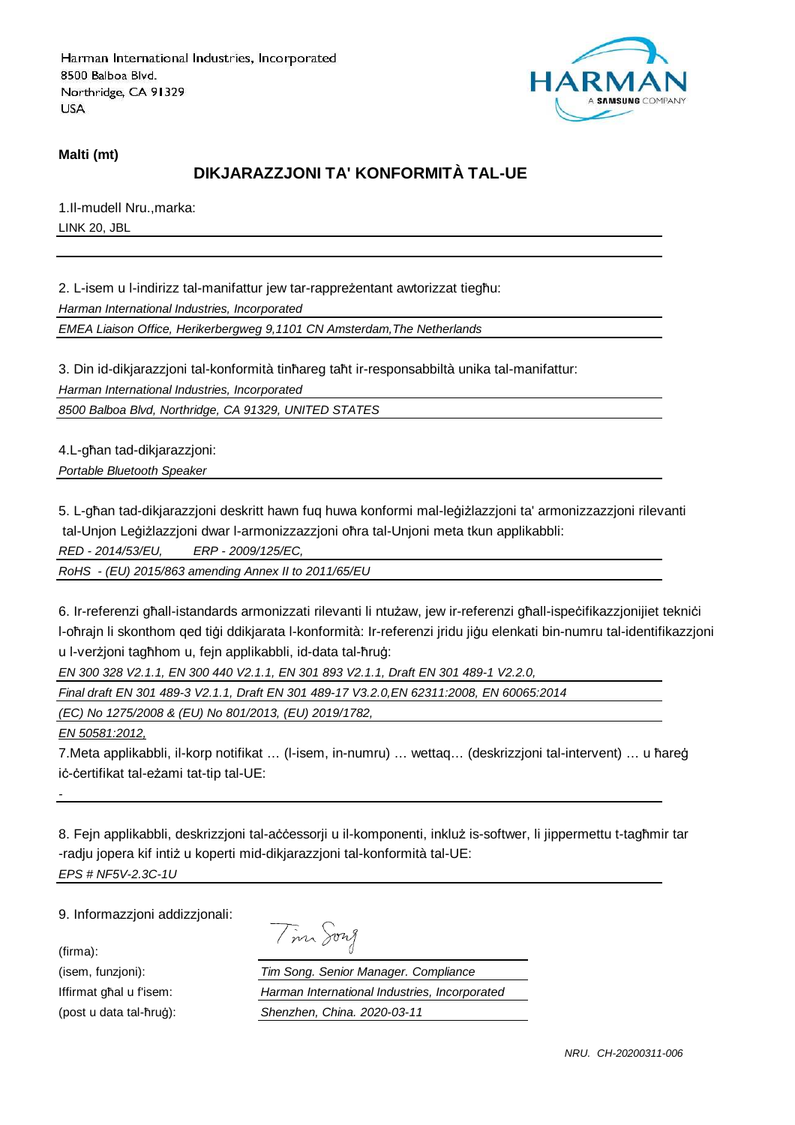

#### **Malti (mt)**

### **DIKJARAZZJONI TA' KONFORMITÀ TAL-UE**

1.Il-mudell Nru.,marka: LINK 20, JBL

2. L-isem u l-indirizz tal-manifattur jew tar-rappreżentant awtorizzat tiegħu:

Harman International Industries, Incorporated

EMEA Liaison Office, Herikerbergweg 9,1101 CN Amsterdam,The Netherlands

3. Din id-dikjarazzjoni tal-konformità tinħareg taħt ir-responsabbiltà unika tal-manifattur:

Harman International Industries, Incorporated

8500 Balboa Blvd, Northridge, CA 91329, UNITED STATES

4.L-għan tad-dikjarazzjoni: Portable Bluetooth Speaker

5. L-għan tad-dikjarazzjoni deskritt hawn fuq huwa konformi mal-leġiżlazzjoni ta' armonizzazzjoni rilevanti tal-Unjon Leġiżlazzjoni dwar l-armonizzazzjoni oħra tal-Unjoni meta tkun applikabbli:

RED - 2014/53/EU, ERP - 2009/125/EC,

RoHS - (EU) 2015/863 amending Annex II to 2011/65/EU

6. Ir-referenzi għall-istandards armonizzati rilevanti li ntużaw, jew ir-referenzi għall-ispeċifikazzjonijiet tekniċi l-oħrajn li skonthom qed tiġi ddikjarata l-konformità: Ir-referenzi jridu jiġu elenkati bin-numru tal-identifikazzjoni u l-verżjoni tagħhom u, fejn applikabbli, id-data tal-ħruġ:

EN 300 328 V2.1.1, EN 300 440 V2.1.1, EN 301 893 V2.1.1, Draft EN 301 489-1 V2.2.0,

Final draft EN 301 489-3 V2.1.1, Draft EN 301 489-17 V3.2.0,EN 62311:2008, EN 60065:2014

(EC) No 1275/2008 & (EU) No 801/2013, (EU) 2019/1782,

EN 50581:2012,

7.Meta applikabbli, il-korp notifikat … (l-isem, in-numru) … wettaq… (deskrizzjoni tal-intervent) … u ħareġ iċ-ċertifikat tal-eżami tat-tip tal-UE:

8. Fejn applikabbli, deskrizzjoni tal-aċċessorji u il-komponenti, inkluż is-softwer, li jippermettu t-tagħmir tar -radju jopera kif intiż u koperti mid-dikjarazzjoni tal-konformità tal-UE: EPS # NF5V-2.3C-1U

9. Informazzjoni addizzjonali:

(firma):

-

Tim Song

(isem, funzjoni): Tim Song. Senior Manager. Compliance Iffirmat għal u f'isem: Harman International Industries, Incorporated (post u data tal-ħruġ): Shenzhen, China. 2020-03-11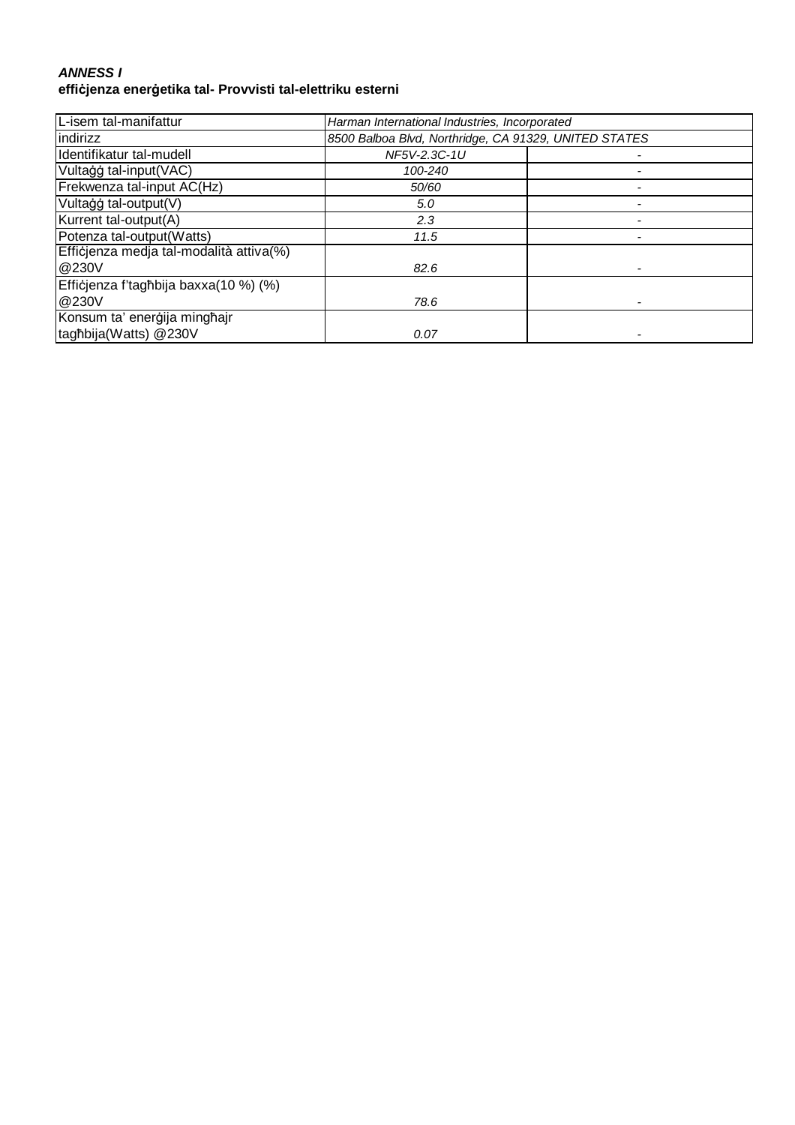#### **ANNESS I effiċjenza enerġetika tal- Provvisti tal-elettriku esterni**

| L-isem tal-manifattur                   | Harman International Industries, Incorporated         |  |
|-----------------------------------------|-------------------------------------------------------|--|
| indirizz                                | 8500 Balboa Blvd, Northridge, CA 91329, UNITED STATES |  |
| Identifikatur tal-mudell                | NF5V-2.3C-1U                                          |  |
| Vultaģģ tal-input(VAC)                  | 100-240                                               |  |
| Frekwenza tal-input AC(Hz)              | 50/60                                                 |  |
| Vultagg tal-output(V)                   | 5.0                                                   |  |
| Kurrent tal-output(A)                   | 2.3                                                   |  |
| Potenza tal-output(Watts)               | 11.5                                                  |  |
| Efficjenza medja tal-modalità attiva(%) |                                                       |  |
| @230V                                   | 82.6                                                  |  |
| Efficjenza f'tagħbija baxxa(10 %) (%)   |                                                       |  |
| @230V                                   | 78.6                                                  |  |
| Konsum ta' enerģija minghajr            |                                                       |  |
| taghbija(Watts) @230V                   | 0.07                                                  |  |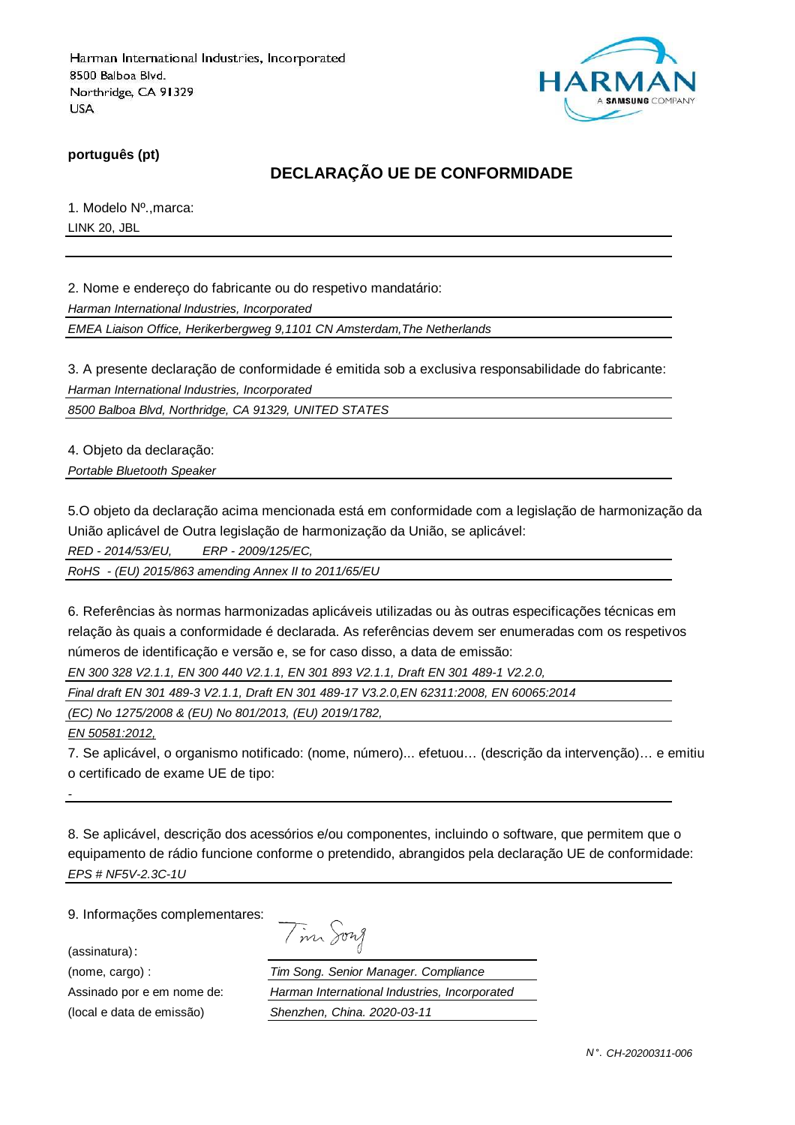

**português (pt)**

## **DECLARAÇÃO UE DE CONFORMIDADE**

1. Modelo Nº.,marca: LINK 20, JBL

2. Nome e endereço do fabricante ou do respetivo mandatário:

Harman International Industries, Incorporated

EMEA Liaison Office, Herikerbergweg 9,1101 CN Amsterdam,The Netherlands

3. A presente declaração de conformidade é emitida sob a exclusiva responsabilidade do fabricante: Harman International Industries, Incorporated

8500 Balboa Blvd, Northridge, CA 91329, UNITED STATES

4. Objeto da declaração:

Portable Bluetooth Speaker

5.O objeto da declaração acima mencionada está em conformidade com a legislação de harmonização da União aplicável de Outra legislação de harmonização da União, se aplicável:

RED - 2014/53/EU, ERP - 2009/125/EC,

RoHS - (EU) 2015/863 amending Annex II to 2011/65/EU

6. Referências às normas harmonizadas aplicáveis utilizadas ou às outras especificações técnicas em relação às quais a conformidade é declarada. As referências devem ser enumeradas com os respetivos números de identificação e versão e, se for caso disso, a data de emissão:

EN 300 328 V2.1.1, EN 300 440 V2.1.1, EN 301 893 V2.1.1, Draft EN 301 489-1 V2.2.0,

Final draft EN 301 489-3 V2.1.1, Draft EN 301 489-17 V3.2.0,EN 62311:2008, EN 60065:2014

(EC) No 1275/2008 & (EU) No 801/2013, (EU) 2019/1782,

EN 50581:2012,

-

7. Se aplicável, o organismo notificado: (nome, número)... efetuou… (descrição da intervenção)… e emitiu o certificado de exame UE de tipo:

8. Se aplicável, descrição dos acessórios e/ou componentes, incluindo o software, que permitem que o equipamento de rádio funcione conforme o pretendido, abrangidos pela declaração UE de conformidade: EPS # NF5V-2.3C-1U

9. Informações complementares:

(assinatura):

| $\sqrt{ }$ | $1277$ $\lambda$ |
|------------|------------------|
|            |                  |

(nome, cargo) : Tim Song. Senior Manager. Compliance Assinado por e em nome de: Harman International Industries, Incorporated (local e data de emissão) Shenzhen, China. 2020-03-11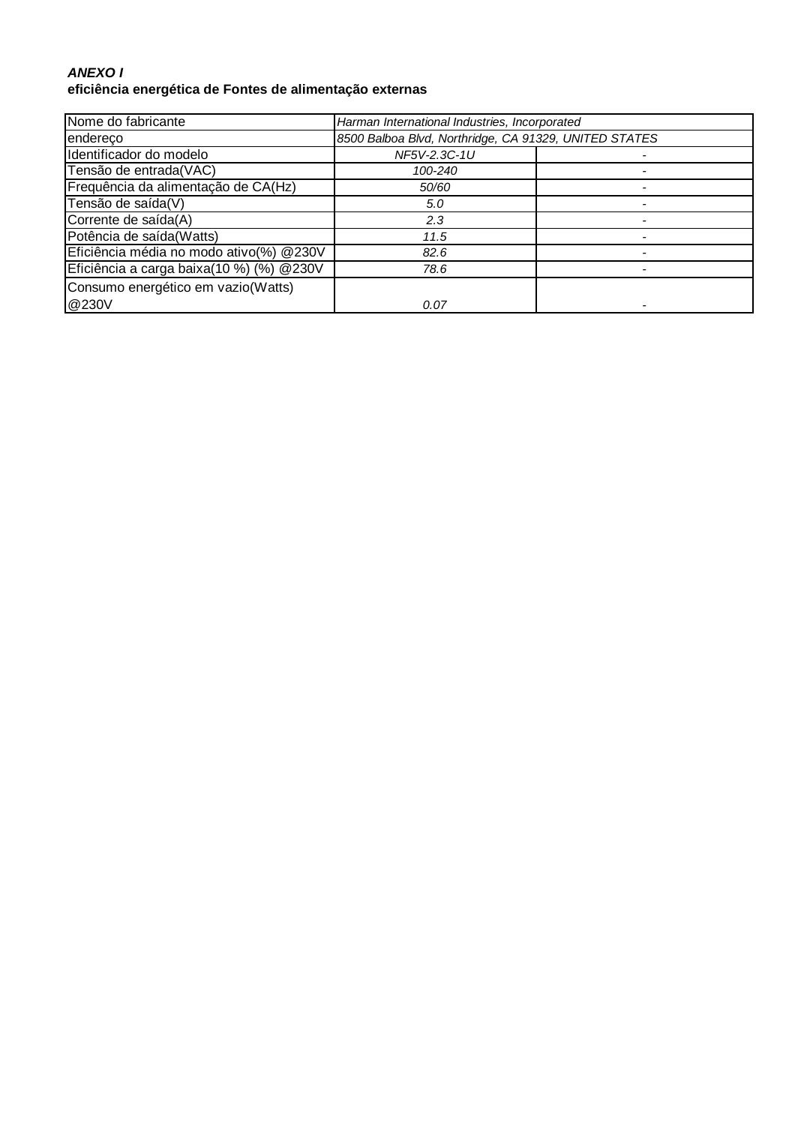#### **ANEXO I eficiência energética de Fontes de alimentação externas**

| Nome do fabricante                        | Harman International Industries, Incorporated         |  |
|-------------------------------------------|-------------------------------------------------------|--|
| endereco                                  | 8500 Balboa Blvd, Northridge, CA 91329, UNITED STATES |  |
| Identificador do modelo                   | NF5V-2.3C-1U                                          |  |
| Tensão de entrada(VAC)                    | 100-240                                               |  |
| Frequência da alimentação de CA(Hz)       | 50/60                                                 |  |
| Tensão de saída(V)                        | 5.0                                                   |  |
| Corrente de saída(A)                      | 2.3                                                   |  |
| Potência de saída(Watts)                  | 11.5                                                  |  |
| Eficiência média no modo ativo(%) @230V   | 82.6                                                  |  |
| Eficiência a carga baixa(10 %) (%) @ 230V | 78.6                                                  |  |
| Consumo energético em vazio(Watts)        |                                                       |  |
| @230V                                     | 0.07                                                  |  |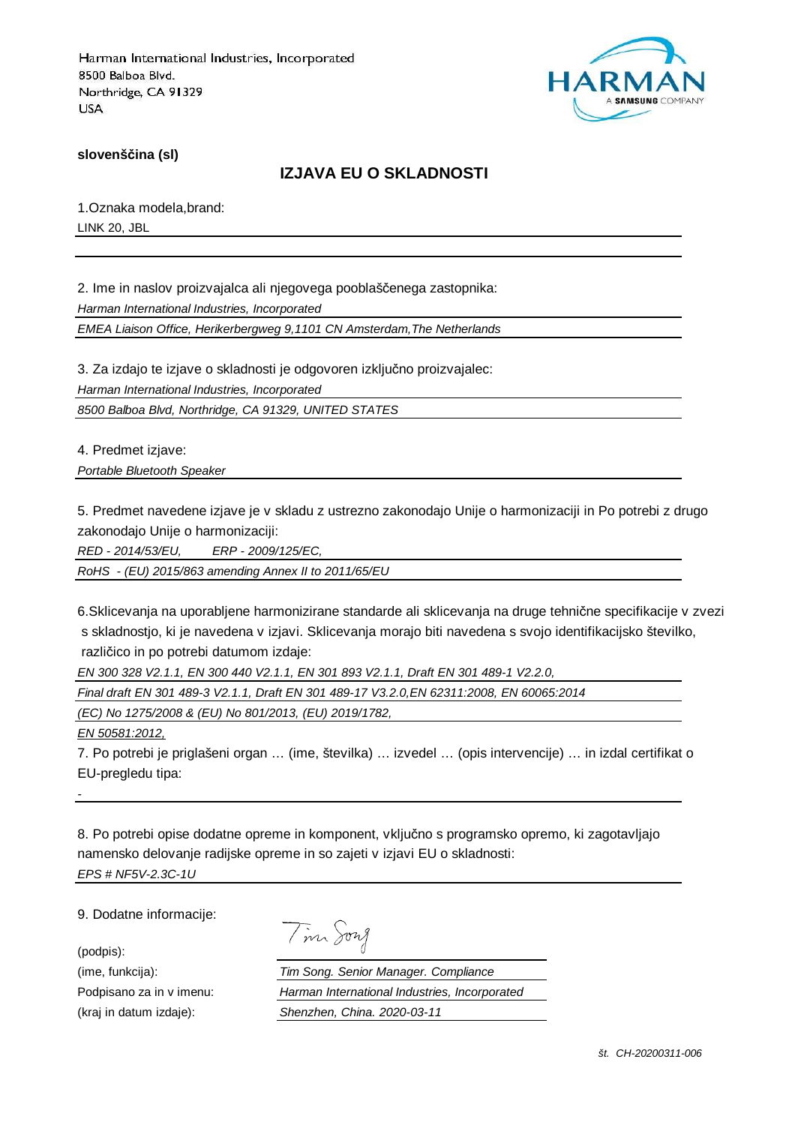

**slovenščina (sl)**

### **IZJAVA EU O SKLADNOSTI**

1.Oznaka modela,brand: LINK 20, JBL

2. Ime in naslov proizvajalca ali njegovega pooblaščenega zastopnika: Harman International Industries, Incorporated

EMEA Liaison Office, Herikerbergweg 9,1101 CN Amsterdam,The Netherlands

3. Za izdajo te izjave o skladnosti je odgovoren izključno proizvajalec: Harman International Industries, Incorporated

8500 Balboa Blvd, Northridge, CA 91329, UNITED STATES

4. Predmet izjave: Portable Bluetooth Speaker

5. Predmet navedene izjave je v skladu z ustrezno zakonodajo Unije o harmonizaciji in Po potrebi z drugo

zakonodajo Unije o harmonizaciji:

RED - 2014/53/EU, ERP - 2009/125/EC,

RoHS - (EU) 2015/863 amending Annex II to 2011/65/EU

6.Sklicevanja na uporabljene harmonizirane standarde ali sklicevanja na druge tehnične specifikacije v zvezi s skladnostjo, ki je navedena v izjavi. Sklicevanja morajo biti navedena s svojo identifikacijsko številko, različico in po potrebi datumom izdaje:

EN 300 328 V2.1.1, EN 300 440 V2.1.1, EN 301 893 V2.1.1, Draft EN 301 489-1 V2.2.0,

Final draft EN 301 489-3 V2.1.1, Draft EN 301 489-17 V3.2.0,EN 62311:2008, EN 60065:2014

(EC) No 1275/2008 & (EU) No 801/2013, (EU) 2019/1782,

EN 50581:2012,

7. Po potrebi je priglašeni organ … (ime, številka) … izvedel … (opis intervencije) … in izdal certifikat o EU-pregledu tipa:

8. Po potrebi opise dodatne opreme in komponent, vključno s programsko opremo, ki zagotavljajo namensko delovanje radijske opreme in so zajeti v izjavi EU o skladnosti: EPS # NF5V-2.3C-1U

9. Dodatne informacije:

(podpis):

-

Tim Song

(ime, funkcija): Tim Song. Senior Manager. Compliance Podpisano za in v imenu: Harman International Industries, Incorporated (kraj in datum izdaje): Shenzhen, China. 2020-03-11